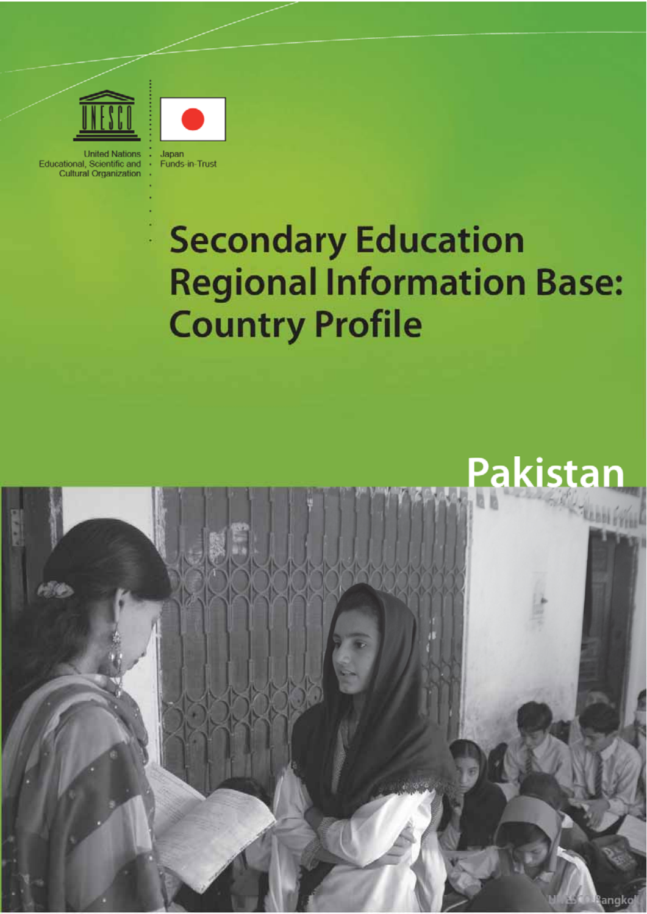

**United Nations** Educational, Scientific and Cultural Organization



Japan Funds-in-Trust

# **Secondary Education Regional Information Base: Country Profile**

# **Pakistan**

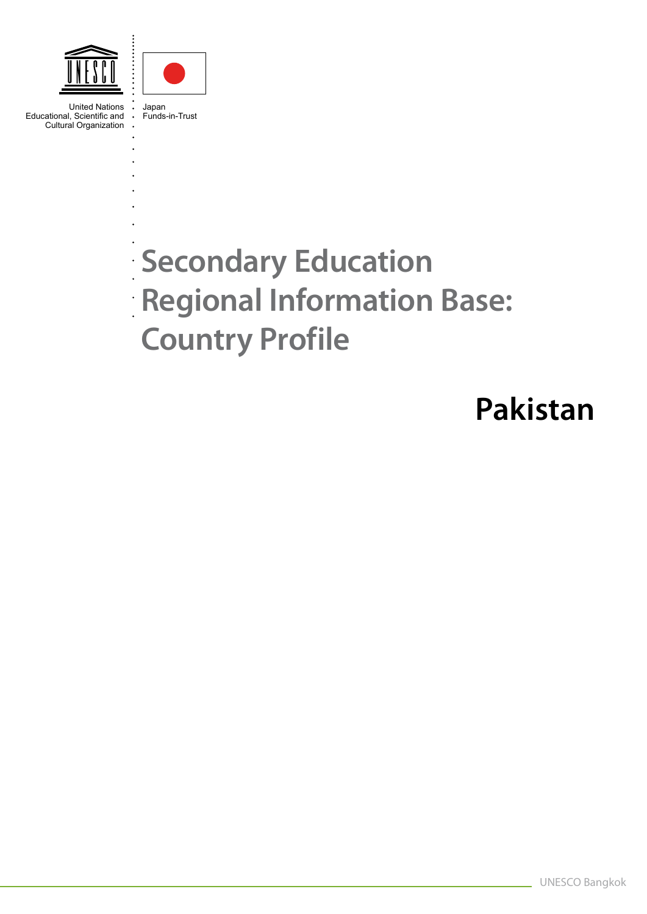



United Nations Educational, Scientific and Cultural Organization

Japan Funds-in-Trust

# **Secondary Education Regional Information Base: Country Profile**

# **Pakistan**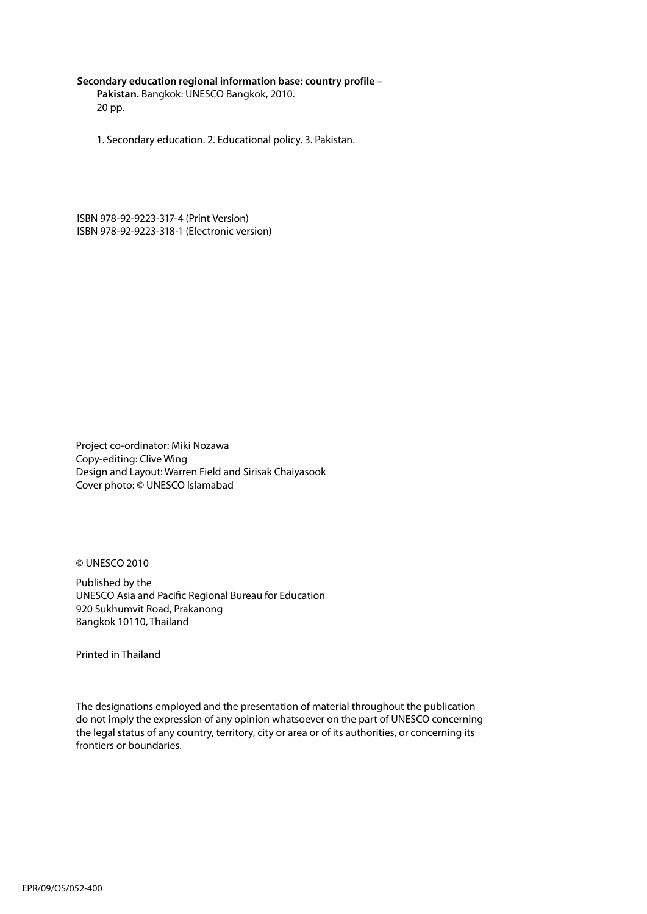#### **Secondary education regional information base: country profile –**

**Pakistan.** Bangkok: UNESCO Bangkok, 2010. 20 pp.

1. Secondary education. 2. Educational policy. 3. Pakistan.

ISBN 978-92-9223-317-4 (Print Version) ISBN 978-92-9223-318-1 (Electronic version)

Project co-ordinator: Miki Nozawa Copy-editing: Clive Wing Design and Layout: Warren Field and Sirisak Chaiyasook Cover photo: © UNESCO Islamabad

© UNESCO 2010

Published by the UNESCO Asia and Pacific Regional Bureau for Education 920 Sukhumvit Road, Prakanong Bangkok 10110, Thailand

Printed in Thailand

The designations employed and the presentation of material throughout the publication do not imply the expression of any opinion whatsoever on the part of UNESCO concerning the legal status of any country, territory, city or area or of its authorities, or concerning its frontiers or boundaries.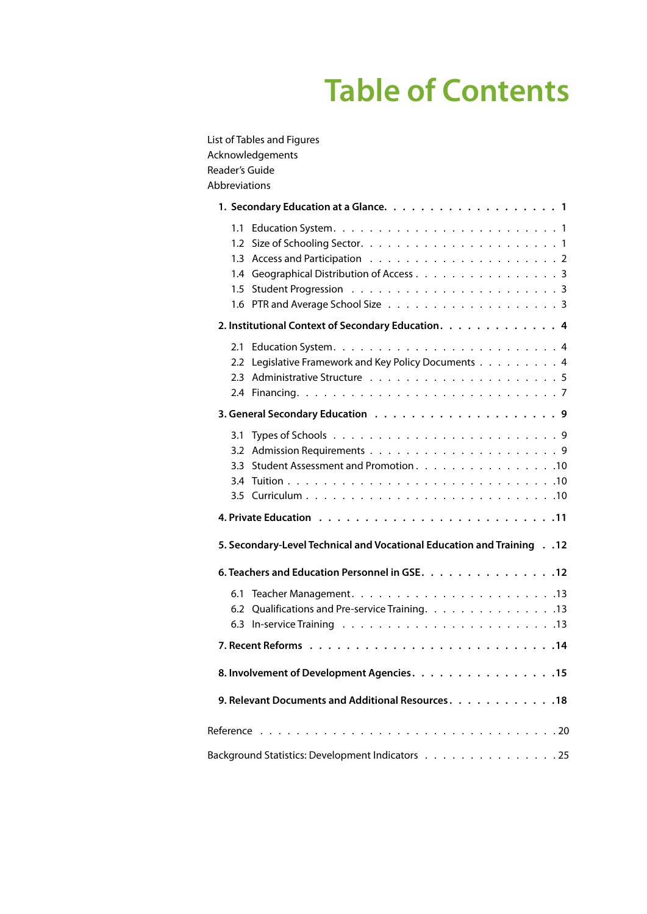# **Table of Contents**

| List of Tables and Figures<br>Acknowledgements<br>Reader's Guide<br>Abbreviations |
|-----------------------------------------------------------------------------------|
|                                                                                   |
| 1.4 Geographical Distribution of Access 3                                         |
| 2. Institutional Context of Secondary Education. 4                                |
| 2.2 Legislative Framework and Key Policy Documents 4                              |
|                                                                                   |
| Student Assessment and Promotion. 10<br>3.3                                       |
|                                                                                   |
| 5. Secondary-Level Technical and Vocational Education and Training 12             |
| 6. Teachers and Education Personnel in GSE. 12                                    |
| 6.2 Qualifications and Pre-service Training. 13                                   |
|                                                                                   |
| 8. Involvement of Development Agencies. 15                                        |
| 9. Relevant Documents and Additional Resources. 18                                |
|                                                                                   |
| Background Statistics: Development Indicators 25                                  |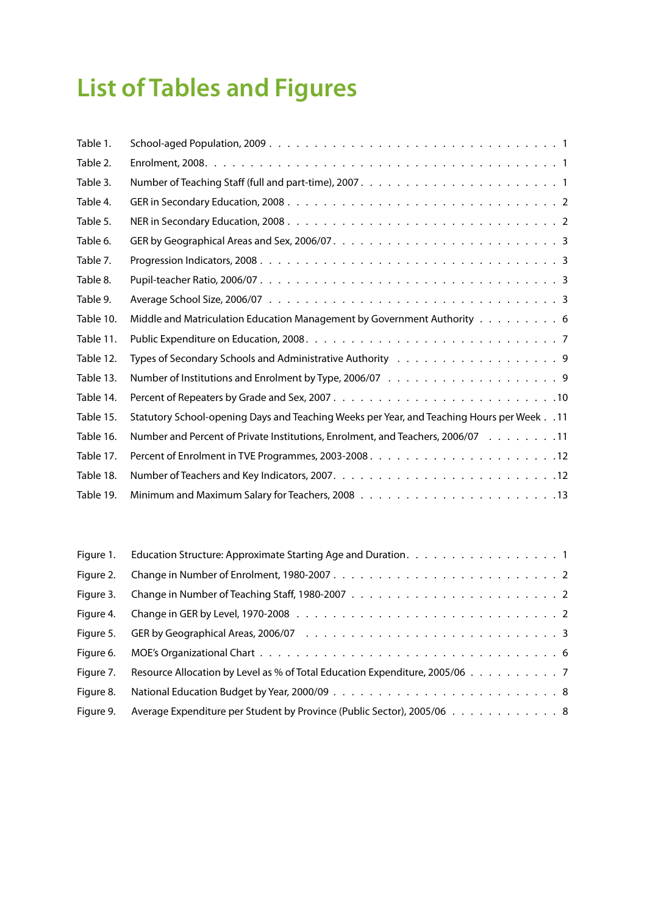# **List of Tables and Figures**

| Table 1.  |                                                                                               |
|-----------|-----------------------------------------------------------------------------------------------|
| Table 2.  |                                                                                               |
| Table 3.  |                                                                                               |
| Table 4.  |                                                                                               |
| Table 5.  |                                                                                               |
| Table 6.  |                                                                                               |
| Table 7.  |                                                                                               |
| Table 8.  |                                                                                               |
| Table 9.  |                                                                                               |
| Table 10. | Middle and Matriculation Education Management by Government Authority 6                       |
| Table 11. |                                                                                               |
| Table 12. | Types of Secondary Schools and Administrative Authority Table Reservence Secondary Schools    |
| Table 13. |                                                                                               |
| Table 14. |                                                                                               |
| Table 15. | 11. Statutory School-opening Days and Teaching Weeks per Year, and Teaching Hours per Week 11 |
| Table 16. | Number and Percent of Private Institutions, Enrolment, and Teachers, 2006/07 11               |
| Table 17. |                                                                                               |
| Table 18. |                                                                                               |
| Table 19. |                                                                                               |

|           | Figure 1. Education Structure: Approximate Starting Age and Duration. 1     |
|-----------|-----------------------------------------------------------------------------|
| Figure 2. |                                                                             |
| Figure 3. |                                                                             |
| Figure 4. |                                                                             |
| Figure 5. |                                                                             |
| Figure 6. |                                                                             |
| Figure 7. | Resource Allocation by Level as % of Total Education Expenditure, 2005/06 7 |
| Figure 8. |                                                                             |
| Figure 9. | Average Expenditure per Student by Province (Public Sector), 2005/06 8      |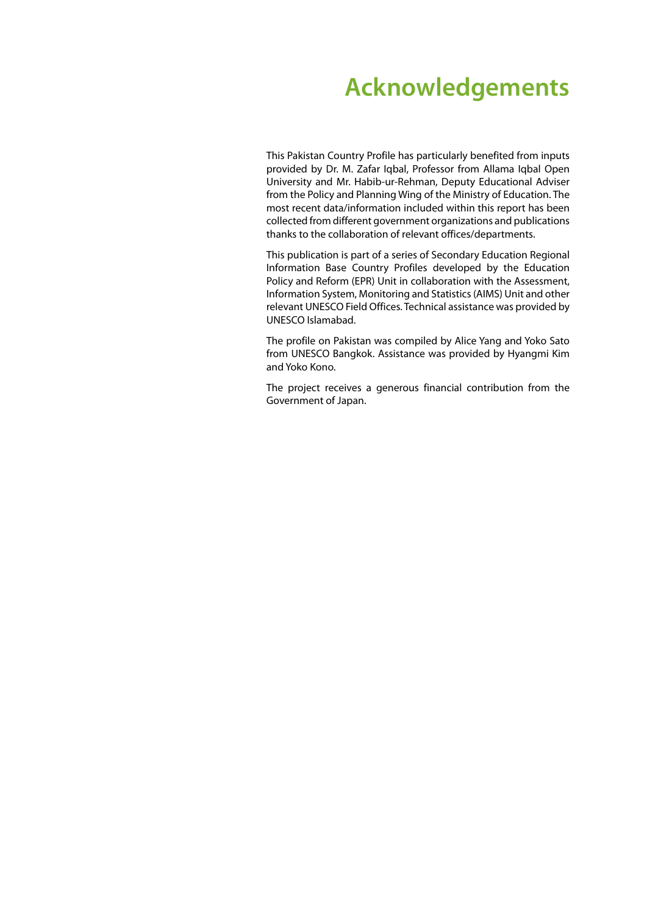# **Acknowledgements**

This Pakistan Country Profile has particularly benefited from inputs provided by Dr. M. Zafar Iqbal, Professor from Allama Iqbal Open University and Mr. Habib-ur-Rehman, Deputy Educational Adviser from the Policy and Planning Wing of the Ministry of Education. The most recent data/information included within this report has been collected from different government organizations and publications thanks to the collaboration of relevant offices/departments.

This publication is part of a series of Secondary Education Regional Information Base Country Profiles developed by the Education Policy and Reform (EPR) Unit in collaboration with the Assessment, Information System, Monitoring and Statistics (AIMS) Unit and other relevant UNESCO Field Offices. Technical assistance was provided by UNESCO Islamabad.

The profile on Pakistan was compiled by Alice Yang and Yoko Sato from UNESCO Bangkok. Assistance was provided by Hyangmi Kim and Yoko Kono.

The project receives a generous financial contribution from the Government of Japan.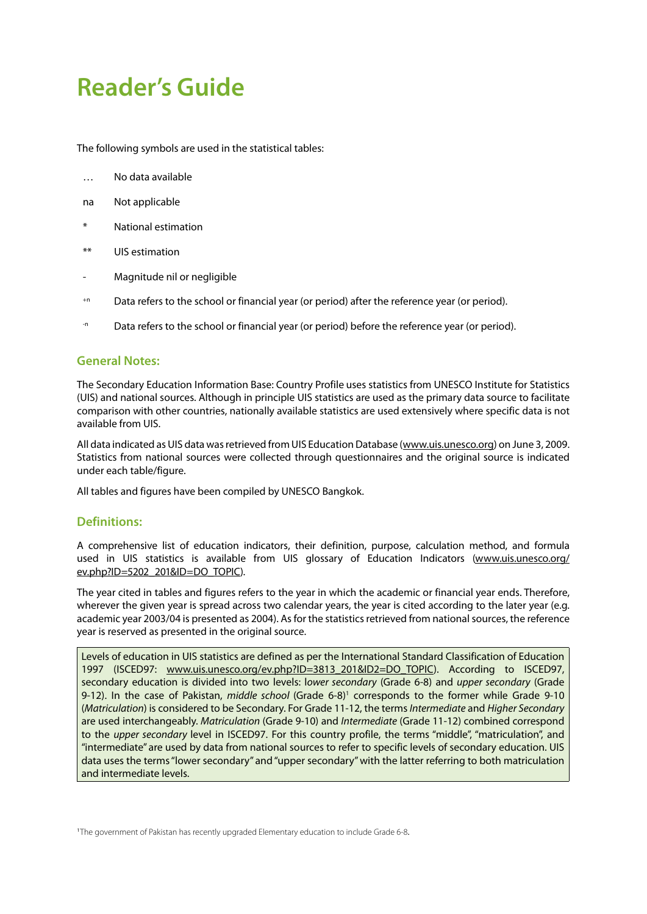# **Reader's Guide**

The following symbols are used in the statistical tables:

- … No data available
- na Not applicable
- National estimation
- \*\* UIS estimation
- Magnitude nil or negligible
- <sup>+n</sup> Data refers to the school or financial year (or period) after the reference year (or period).
- The Data refers to the school or financial year (or period) before the reference year (or period).

#### **General Notes:**

The Secondary Education Information Base: Country Profile uses statistics from UNESCO Institute for Statistics (UIS) and national sources. Although in principle UIS statistics are used as the primary data source to facilitate comparison with other countries, nationally available statistics are used extensively where specific data is not available from UIS.

All data indicated as UIS data was retrieved from UIS Education Database ([www.uis.unesco.org\)](http://www.uis.unesco.org) on June 3, 2009. Statistics from national sources were collected through questionnaires and the original source is indicated under each table/figure.

All tables and figures have been compiled by UNESCO Bangkok.

#### **Definitions:**

A comprehensive list of education indicators, their definition, purpose, calculation method, and formula used in UIS statistics is available from UIS glossary of Education Indicators [\(www.uis.unesco.or](http://www.uis.unesco.org/ev.php?ID=5202_201&ID=DO_TOPIC)g/ [ev.php?ID=5202\\_201&ID=DO\\_TOPIC](http://www.uis.unesco.org/ev.php?ID=5202_201&ID=DO_TOPIC)).

The year cited in tables and figures refers to the year in which the academic or financial year ends. Therefore, wherever the given year is spread across two calendar years, the year is cited according to the later year (e.g. academic year 2003/04 is presented as 2004). As for the statistics retrieved from national sources, the reference year is reserved as presented in the original source.

Levels of education in UIS statistics are defined as per the International Standard Classification of Education 1997 (ISCED97: [www.uis.unesco.org/ev.php?ID=3813\\_201&ID2=DO\\_TOPIC](http://www.uis.unesco.org/ev.php?ID=3813_201&ID2=DO_TOPIC)). According to ISCED97, secondary education is divided into two levels: l*ower secondary* (Grade 6-8) and *upper secondary* (Grade 9-12). In the case of Pakistan, *middle school* (Grade 6-8)<sup>1</sup> corresponds to the former while Grade 9-10 (*Matriculation*) is considered to be Secondary. For Grade 11-12, the terms *Intermediate* and *Higher Secondary* are used interchangeably. *Matriculation* (Grade 9-10) and *Intermediate* (Grade 11-12) combined correspond to the *upper secondary* level in ISCED97. For this country profile, the terms "middle", "matriculation", and "intermediate" are used by data from national sources to refer to specific levels of secondary education. UIS data uses the terms "lower secondary" and "upper secondary" with the latter referring to both matriculation and intermediate levels.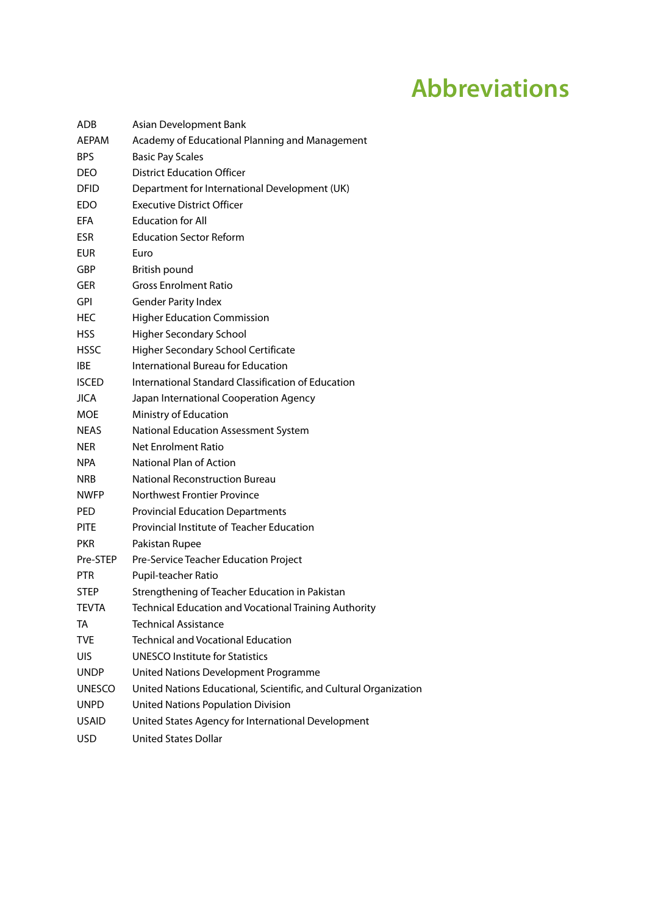# **Abbreviations**

| ADB           | Asian Development Bank                                            |
|---------------|-------------------------------------------------------------------|
| AEPAM         | Academy of Educational Planning and Management                    |
| <b>BPS</b>    | <b>Basic Pay Scales</b>                                           |
| DEO           | <b>District Education Officer</b>                                 |
| DFID          | Department for International Development (UK)                     |
| EDO.          | <b>Executive District Officer</b>                                 |
| EFA.          | <b>Education for All</b>                                          |
| <b>ESR</b>    | <b>Education Sector Reform</b>                                    |
| EUR           | Euro                                                              |
| GBP           | British pound                                                     |
| GER           | <b>Gross Enrolment Ratio</b>                                      |
| GPI           | <b>Gender Parity Index</b>                                        |
| <b>HEC</b>    | <b>Higher Education Commission</b>                                |
| <b>HSS</b>    | <b>Higher Secondary School</b>                                    |
| <b>HSSC</b>   | Higher Secondary School Certificate                               |
| IBE           | International Bureau for Education                                |
| <b>ISCED</b>  | International Standard Classification of Education                |
| <b>JICA</b>   | Japan International Cooperation Agency                            |
| <b>MOE</b>    | Ministry of Education                                             |
| NEAS          | National Education Assessment System                              |
| <b>NER</b>    | Net Enrolment Ratio                                               |
| NPA           | National Plan of Action                                           |
| <b>NRB</b>    | <b>National Reconstruction Bureau</b>                             |
| <b>NWFP</b>   | Northwest Frontier Province                                       |
| <b>PED</b>    | <b>Provincial Education Departments</b>                           |
| <b>PITE</b>   | Provincial Institute of Teacher Education                         |
| <b>PKR</b>    | Pakistan Rupee                                                    |
| Pre-STEP      | Pre-Service Teacher Education Project                             |
| <b>PTR</b>    | Pupil-teacher Ratio                                               |
| STEP          | Strengthening of Teacher Education in Pakistan                    |
| <b>TEVTA</b>  | Technical Education and Vocational Training Authority             |
| TA            | <b>Technical Assistance</b>                                       |
| <b>TVE</b>    | <b>Technical and Vocational Education</b>                         |
| <b>UIS</b>    | <b>UNESCO Institute for Statistics</b>                            |
| <b>UNDP</b>   | United Nations Development Programme                              |
| <b>UNESCO</b> | United Nations Educational, Scientific, and Cultural Organization |
| <b>UNPD</b>   | <b>United Nations Population Division</b>                         |
| <b>USAID</b>  | United States Agency for International Development                |
| <b>USD</b>    | United States Dollar                                              |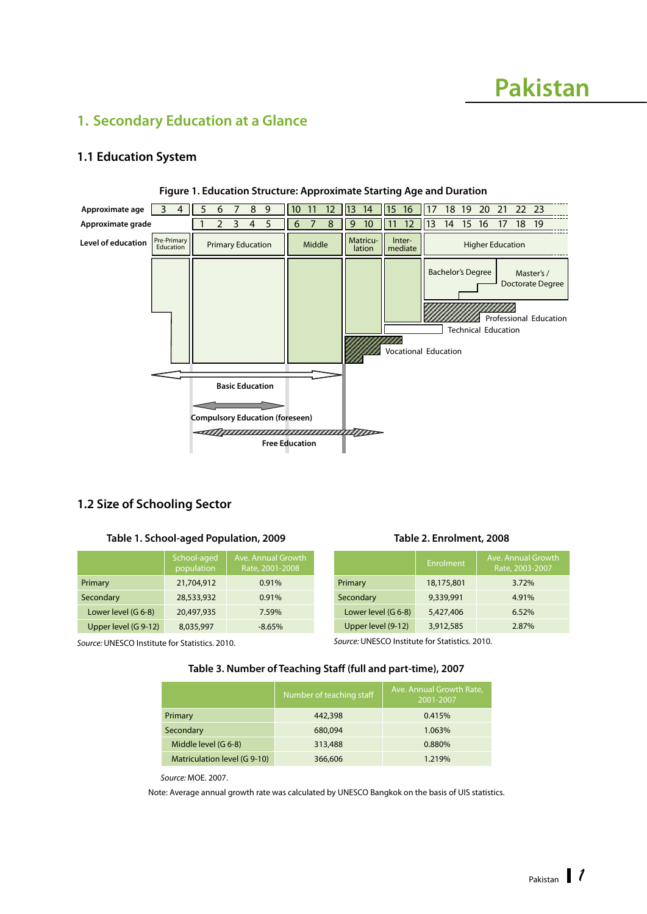# **Pakistan**

# <span id="page-8-0"></span>**1. Secondary Education at a Glance**

### **1.1 Education System**



#### **Figure 1. Education Structure: Approximate Starting Age and Duration**

#### **1.2 Size of Schooling Sector**

#### **Table 1. School-aged Population, 2009**

|                      | School-aged<br>population | Ave. Annual Growth<br>Rate, 2001-2008 |
|----------------------|---------------------------|---------------------------------------|
| Primary              | 21,704,912                | 0.91%                                 |
| Secondary            | 28,533,932                | 0.91%                                 |
| Lower level (G 6-8)  | 20,497,935                | 7.59%                                 |
| Upper level (G 9-12) | 8,035,997                 | $-8.65%$                              |

|                     | --------   | Rate, 2003-2007 |
|---------------------|------------|-----------------|
| Primary             | 18,175,801 | 3.72%           |
| Secondary           | 9,339,991  | 4.91%           |
| Lower level (G 6-8) | 5,427,406  | 6.52%           |
| Upper level (9-12)  | 3,912,585  | 2.87%           |

**Table 2. Enrolment, 2008**

Ave. Annual Growth

*Source:* UNESCO Institute for Statistics. 2010.

*Source:* UNESCO Institute for Statistics. 2010.

#### **Table 3. Number of Teaching Staff (full and part-time), 2007**

|                              | Number of teaching staff | Ave. Annual Growth Rate,<br>2001-2007 |
|------------------------------|--------------------------|---------------------------------------|
| Primary                      | 442,398                  | 0.415%                                |
| Secondary                    | 680,094                  | 1.063%                                |
| Middle level (G 6-8)         | 313,488                  | 0.880%                                |
| Matriculation level (G 9-10) | 366,606                  | 1.219%                                |

*Source:* MOE. 2007.

Note: Average annual growth rate was calculated by UNESCO Bangkok on the basis of UIS statistics.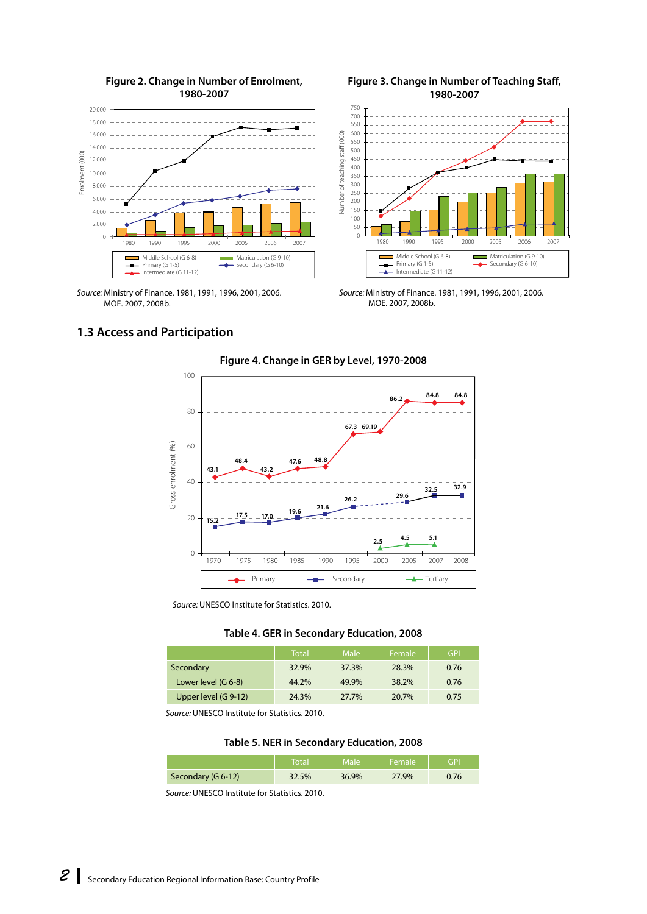<span id="page-9-0"></span>

#### **Figure 2. Change in Number of Enrolment, 1980-2007**

**Figure 3. Change in Number of Teaching Staff, 1980-2007**



*Source:* Ministry of Finance. 1981, 1991, 1996, 2001, 2006. MOE. 2007, 2008b.

*Source:* Ministry of Finance. 1981, 1991, 1996, 2001, 2006. MOE. 2007, 2008b.

# **1.3 Access and Participation**



*Source:* UNESCO Institute for Statistics. 2010.



|                      | <b>Total</b> | Male  | Female | <b>GPI</b> |
|----------------------|--------------|-------|--------|------------|
| Secondary            | 32.9%        | 37.3% | 28.3%  | 0.76       |
| Lower level (G 6-8)  | 44.2%        | 49.9% | 38.2%  | 0.76       |
| Upper level (G 9-12) | 24.3%        | 27.7% | 20.7%  | 0.75       |

*Source:* UNESCO Institute for Statistics. 2010.

#### **Table 5. NER in Secondary Education, 2008**

|                    | Total | <b>Male</b> | ı Female. | GPI  |
|--------------------|-------|-------------|-----------|------|
| Secondary (G 6-12) | 32.5% | 36.9%       | 27.9%     | 0.76 |

*Source:* UNESCO Institute for Statistics. 2010.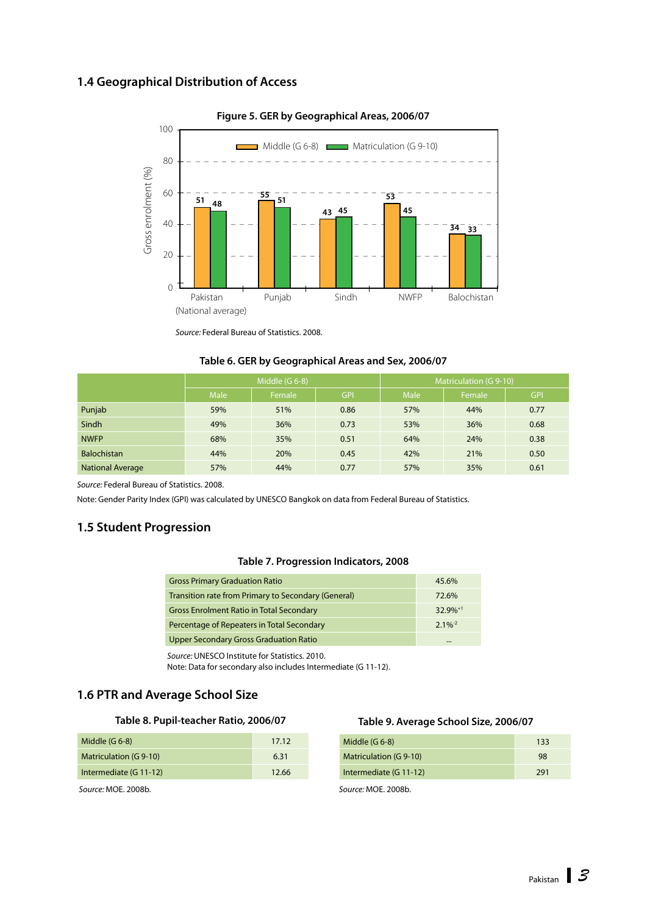# <span id="page-10-0"></span>**1.4 Geographical Distribution of Access**



**Figure 5. GER by Geographical Areas, 2006/07** 

*Source:* Federal Bureau of Statistics. 2008.

#### **Table 6. GER by Geographical Areas and Sex, 2006/07**

|                         | Middle $(G 6-8)$ |        |            | Matriculation (G 9-10) |        |            |
|-------------------------|------------------|--------|------------|------------------------|--------|------------|
|                         | <b>Male</b>      | Female | <b>GPI</b> | Male                   | Female | <b>GPI</b> |
| Punjab                  | 59%              | 51%    | 0.86       | 57%                    | 44%    | 0.77       |
| Sindh                   | 49%              | 36%    | 0.73       | 53%                    | 36%    | 0.68       |
| <b>NWFP</b>             | 68%              | 35%    | 0.51       | 64%                    | 24%    | 0.38       |
| <b>Balochistan</b>      | 44%              | 20%    | 0.45       | 42%                    | 21%    | 0.50       |
| <b>National Average</b> | 57%              | 44%    | 0.77       | 57%                    | 35%    | 0.61       |

*Source:* Federal Bureau of Statistics. 2008.

Note: Gender Parity Index (GPI) was calculated by UNESCO Bangkok on data from Federal Bureau of Statistics.

### **1.5 Student Progression**

#### **Table 7. Progression Indicators, 2008**

| <b>Gross Primary Graduation Ratio</b>               | 45.6%                 |
|-----------------------------------------------------|-----------------------|
| Transition rate from Primary to Secondary (General) | 72.6%                 |
| <b>Gross Enrolment Ratio in Total Secondary</b>     | $32.9\%^{+1}$         |
| Percentage of Repeaters in Total Secondary          | $2.1\%$ <sup>-2</sup> |
| Upper Secondary Gross Graduation Ratio              |                       |

*Source:* UNESCO Institute for Statistics. 2010.

Note: Data for secondary also includes Intermediate (G 11-12).

#### **1.6 PTR and Average School Size**

#### **Table 8. Pupil-teacher Ratio, 2006/07**

| Middle $(G 6-8)$       | 17.12 |
|------------------------|-------|
| Matriculation (G 9-10) | 6.31  |
| Intermediate (G 11-12) | 12.66 |
|                        |       |

*Source:* MOE. 2008b.

#### **Table 9. Average School Size, 2006/07**

| Middle $(G 6-8)$              | 133 |
|-------------------------------|-----|
| <b>Matriculation (G 9-10)</b> | 98  |
| Intermediate (G 11-12)        | 291 |

*Source:* MOE. 2008b.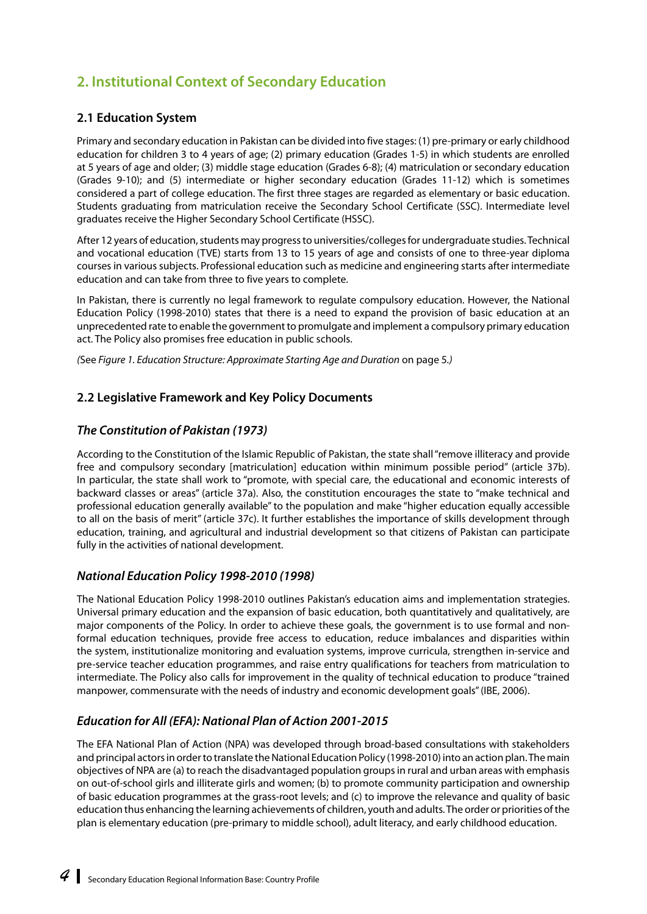# <span id="page-11-0"></span>**2. Institutional Context of Secondary Education**

# **2.1 Education System**

Primary and secondary education in Pakistan can be divided into five stages: (1) pre-primary or early childhood education for children 3 to 4 years of age; (2) primary education (Grades 1-5) in which students are enrolled at 5 years of age and older; (3) middle stage education (Grades 6-8); (4) matriculation or secondary education (Grades 9-10); and (5) intermediate or higher secondary education (Grades 11-12) which is sometimes considered a part of college education. The first three stages are regarded as elementary or basic education. Students graduating from matriculation receive the Secondary School Certificate (SSC). Intermediate level graduates receive the Higher Secondary School Certificate (HSSC).

After 12 years of education, students may progress to universities/colleges for undergraduate studies. Technical and vocational education (TVE) starts from 13 to 15 years of age and consists of one to three-year diploma courses in various subjects. Professional education such as medicine and engineering starts after intermediate education and can take from three to five years to complete.

In Pakistan, there is currently no legal framework to regulate compulsory education. However, the National Education Policy (1998-2010) states that there is a need to expand the provision of basic education at an unprecedented rate to enable the government to promulgate and implement a compulsory primary education act. The Policy also promises free education in public schools.

*(*See *Figure 1. Education Structure: Approximate Starting Age and Duration* on page 5*.)*

## **2.2 Legislative Framework and Key Policy Documents**

### *The Constitution of Pakistan (1973)*

According to the Constitution of the Islamic Republic of Pakistan, the state shall "remove illiteracy and provide free and compulsory secondary [matriculation] education within minimum possible period" (article 37b). In particular, the state shall work to "promote, with special care, the educational and economic interests of backward classes or areas" (article 37a). Also, the constitution encourages the state to "make technical and professional education generally available" to the population and make "higher education equally accessible to all on the basis of merit" (article 37c). It further establishes the importance of skills development through education, training, and agricultural and industrial development so that citizens of Pakistan can participate fully in the activities of national development.

### *National Education Policy 1998-2010 (1998)*

The National Education Policy 1998-2010 outlines Pakistan's education aims and implementation strategies. Universal primary education and the expansion of basic education, both quantitatively and qualitatively, are major components of the Policy. In order to achieve these goals, the government is to use formal and nonformal education techniques, provide free access to education, reduce imbalances and disparities within the system, institutionalize monitoring and evaluation systems, improve curricula, strengthen in-service and pre-service teacher education programmes, and raise entry qualifications for teachers from matriculation to intermediate. The Policy also calls for improvement in the quality of technical education to produce "trained manpower, commensurate with the needs of industry and economic development goals" (IBE, 2006).

# *Education for All (EFA): National Plan of Action 2001-2015*

The EFA National Plan of Action (NPA) was developed through broad-based consultations with stakeholders and principal actors in order to translate the National Education Policy (1998-2010) into an action plan. The main objectives of NPA are (a) to reach the disadvantaged population groups in rural and urban areas with emphasis on out-of-school girls and illiterate girls and women; (b) to promote community participation and ownership of basic education programmes at the grass-root levels; and (c) to improve the relevance and quality of basic education thus enhancing the learning achievements of children, youth and adults. The order or priorities of the plan is elementary education (pre-primary to middle school), adult literacy, and early childhood education.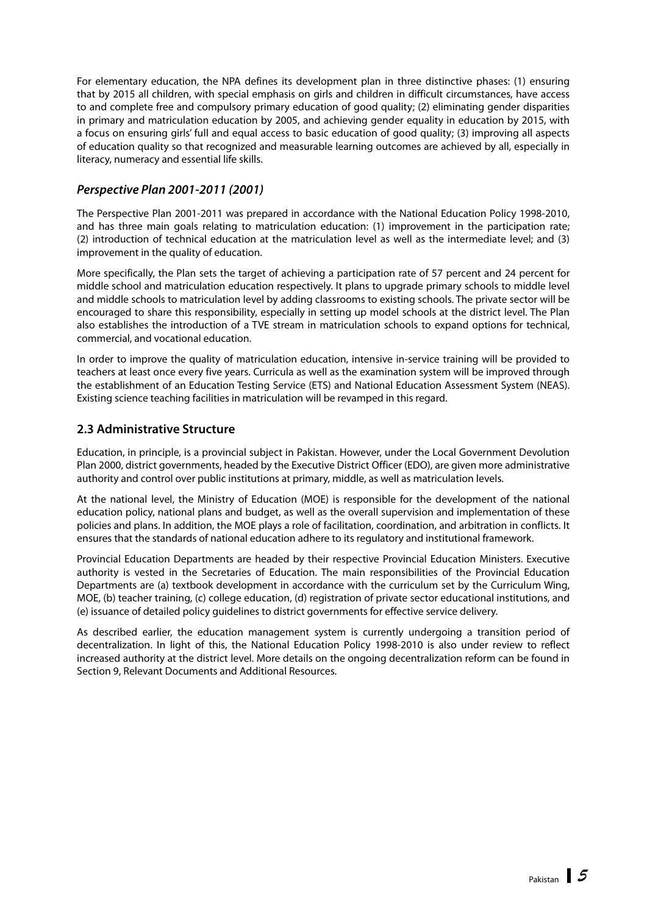<span id="page-12-0"></span>For elementary education, the NPA defines its development plan in three distinctive phases: (1) ensuring that by 2015 all children, with special emphasis on girls and children in difficult circumstances, have access to and complete free and compulsory primary education of good quality; (2) eliminating gender disparities in primary and matriculation education by 2005, and achieving gender equality in education by 2015, with a focus on ensuring girls' full and equal access to basic education of good quality; (3) improving all aspects of education quality so that recognized and measurable learning outcomes are achieved by all, especially in literacy, numeracy and essential life skills.

### *Perspective Plan 2001-2011 (2001)*

The Perspective Plan 2001-2011 was prepared in accordance with the National Education Policy 1998-2010, and has three main goals relating to matriculation education: (1) improvement in the participation rate; (2) introduction of technical education at the matriculation level as well as the intermediate level; and (3) improvement in the quality of education.

More specifically, the Plan sets the target of achieving a participation rate of 57 percent and 24 percent for middle school and matriculation education respectively. It plans to upgrade primary schools to middle level and middle schools to matriculation level by adding classrooms to existing schools. The private sector will be encouraged to share this responsibility, especially in setting up model schools at the district level. The Plan also establishes the introduction of a TVE stream in matriculation schools to expand options for technical, commercial, and vocational education.

In order to improve the quality of matriculation education, intensive in-service training will be provided to teachers at least once every five years. Curricula as well as the examination system will be improved through the establishment of an Education Testing Service (ETS) and National Education Assessment System (NEAS). Existing science teaching facilities in matriculation will be revamped in this regard.

# **2.3 Administrative Structure**

Education, in principle, is a provincial subject in Pakistan. However, under the Local Government Devolution Plan 2000, district governments, headed by the Executive District Officer (EDO), are given more administrative authority and control over public institutions at primary, middle, as well as matriculation levels.

At the national level, the Ministry of Education (MOE) is responsible for the development of the national education policy, national plans and budget, as well as the overall supervision and implementation of these policies and plans. In addition, the MOE plays a role of facilitation, coordination, and arbitration in conflicts. It ensures that the standards of national education adhere to its regulatory and institutional framework.

Provincial Education Departments are headed by their respective Provincial Education Ministers. Executive authority is vested in the Secretaries of Education. The main responsibilities of the Provincial Education Departments are (a) textbook development in accordance with the curriculum set by the Curriculum Wing, MOE, (b) teacher training, (c) college education, (d) registration of private sector educational institutions, and (e) issuance of detailed policy guidelines to district governments for effective service delivery.

As described earlier, the education management system is currently undergoing a transition period of decentralization. In light of this, the National Education Policy 1998-2010 is also under review to reflect increased authority at the district level. More details on the ongoing decentralization reform can be found in Section 9, Relevant Documents and Additional Resources.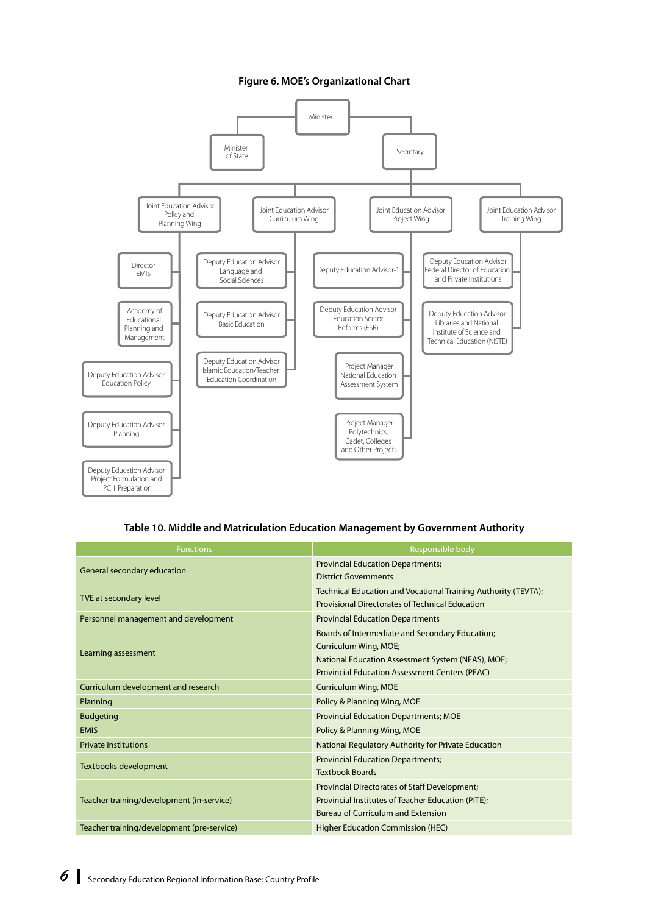#### **Figure 6. MOE's Organizational Chart**



#### **Table 10. Middle and Matriculation Education Management by Government Authority**

| <b>Functions</b>                           | Responsible body                                                                                                                                                                       |
|--------------------------------------------|----------------------------------------------------------------------------------------------------------------------------------------------------------------------------------------|
| General secondary education                | <b>Provincial Education Departments;</b><br><b>District Governments</b>                                                                                                                |
| TVE at secondary level                     | Technical Education and Vocational Training Authority (TEVTA);<br><b>Provisional Directorates of Technical Education</b>                                                               |
| Personnel management and development       | <b>Provincial Education Departments</b>                                                                                                                                                |
| Learning assessment                        | Boards of Intermediate and Secondary Education;<br>Curriculum Wing, MOE;<br>National Education Assessment System (NEAS), MOE;<br><b>Provincial Education Assessment Centers (PEAC)</b> |
| Curriculum development and research        | <b>Curriculum Wing, MOE</b>                                                                                                                                                            |
| Planning                                   | Policy & Planning Wing, MOE                                                                                                                                                            |
| <b>Budgeting</b>                           | <b>Provincial Education Departments; MOE</b>                                                                                                                                           |
| <b>EMIS</b>                                | Policy & Planning Wing, MOE                                                                                                                                                            |
| <b>Private institutions</b>                | National Regulatory Authority for Private Education                                                                                                                                    |
| Textbooks development                      | <b>Provincial Education Departments;</b><br><b>Textbook Boards</b>                                                                                                                     |
| Teacher training/development (in-service)  | <b>Provincial Directorates of Staff Development;</b><br>Provincial Institutes of Teacher Education (PITE);<br><b>Bureau of Curriculum and Extension</b>                                |
| Teacher training/development (pre-service) | <b>Higher Education Commission (HEC)</b>                                                                                                                                               |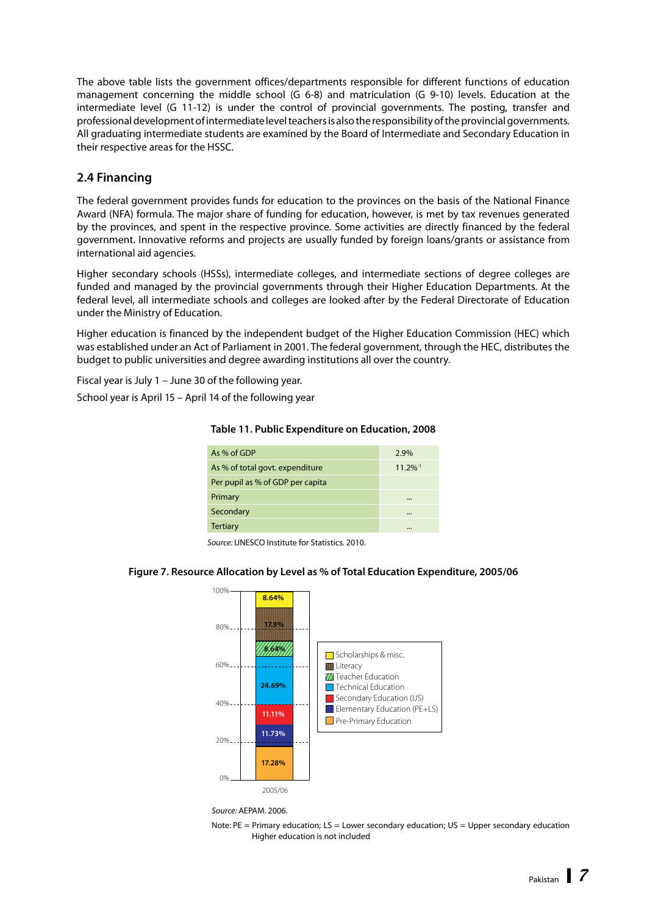<span id="page-14-0"></span>The above table lists the government offices/departments responsible for different functions of education management concerning the middle school (G 6-8) and matriculation (G 9-10) levels. Education at the intermediate level (G 11-12) is under the control of provincial governments. The posting, transfer and professional development of intermediate level teachers is also the responsibility of the provincial governments. All graduating intermediate students are examined by the Board of Intermediate and Secondary Education in their respective areas for the HSSC.

## **2.4 Financing**

The federal government provides funds for education to the provinces on the basis of the National Finance Award (NFA) formula. The major share of funding for education, however, is met by tax revenues generated by the provinces, and spent in the respective province. Some activities are directly financed by the federal government. Innovative reforms and projects are usually funded by foreign loans/grants or assistance from international aid agencies.

Higher secondary schools (HSSs), intermediate colleges, and intermediate sections of degree colleges are funded and managed by the provincial governments through their Higher Education Departments. At the federal level, all intermediate schools and colleges are looked after by the Federal Directorate of Education under the Ministry of Education.

Higher education is financed by the independent budget of the Higher Education Commission (HEC) which was established under an Act of Parliament in 2001. The federal government, through the HEC, distributes the budget to public universities and degree awarding institutions all over the country.

Fiscal year is July 1 – June 30 of the following year.

School year is April 15 – April 14 of the following year

| As % of GDP                      | 2.9%                   |
|----------------------------------|------------------------|
| As % of total govt. expenditure  | $11.2\%$ <sup>-1</sup> |
| Per pupil as % of GDP per capita |                        |
| Primary                          |                        |
| Secondary                        |                        |
| <b>Tertiary</b>                  |                        |

#### **Table 11. Public Expenditure on Education, 2008**

*Source:* UNESCO Institute for Statistics. 2010.

## **Figure 7. Resource Allocation by Level as % of Total Education Expenditure, 2005/06**



*Source:* AEPAM. 2006.

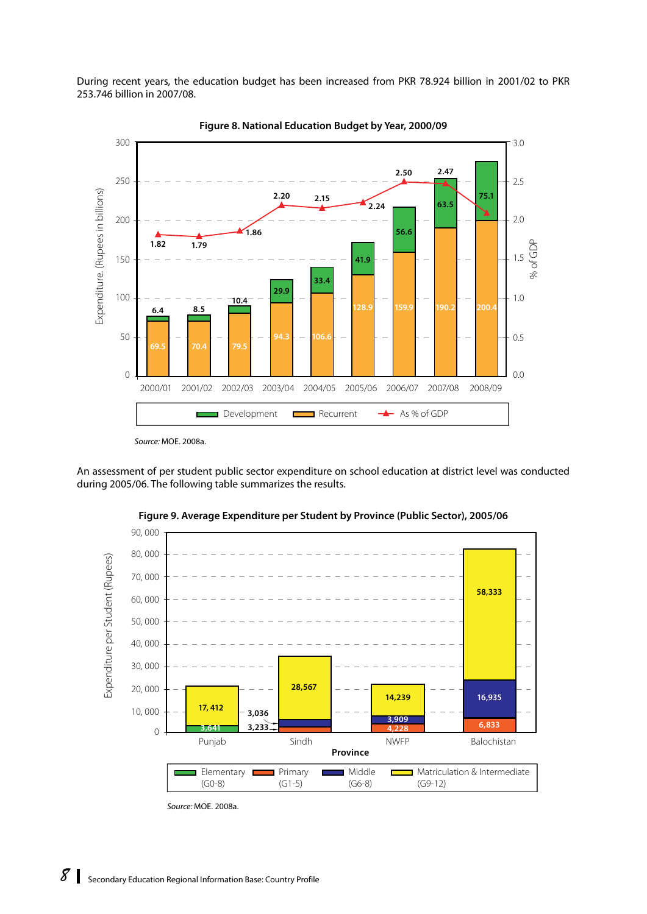During recent years, the education budget has been increased from PKR 78.924 billion in 2001/02 to PKR 253.746 billion in 2007/08.





*Source:* MOE. 2008a.

An assessment of per student public sector expenditure on school education at district level was conducted during 2005/06. The following table summarizes the results.



**Figure 9. Average Expenditure per Student by Province (Public Sector), 2005/06**

*Source:* MOE. 2008a.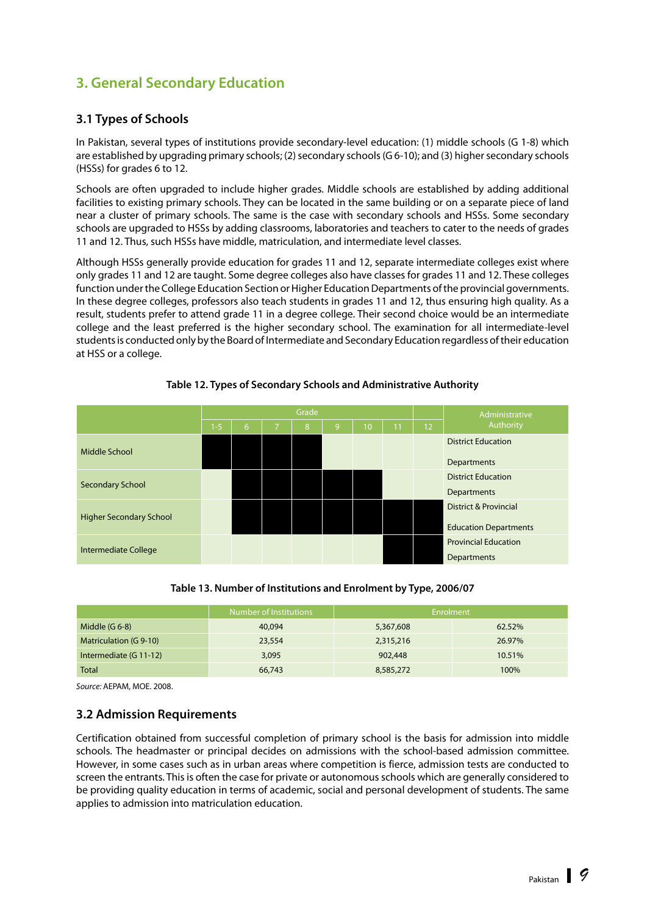# <span id="page-16-0"></span>**3. General Secondary Education**

# **3.1 Types of Schools**

In Pakistan, several types of institutions provide secondary-level education: (1) middle schools (G 1-8) which are established by upgrading primary schools; (2) secondary schools (G 6-10); and (3) higher secondary schools (HSSs) for grades 6 to 12.

Schools are often upgraded to include higher grades. Middle schools are established by adding additional facilities to existing primary schools. They can be located in the same building or on a separate piece of land near a cluster of primary schools. The same is the case with secondary schools and HSSs. Some secondary schools are upgraded to HSSs by adding classrooms, laboratories and teachers to cater to the needs of grades 11 and 12. Thus, such HSSs have middle, matriculation, and intermediate level classes.

Although HSSs generally provide education for grades 11 and 12, separate intermediate colleges exist where only grades 11 and 12 are taught. Some degree colleges also have classes for grades 11 and 12. These colleges function under the College Education Section or Higher Education Departments of the provincial governments. In these degree colleges, professors also teach students in grades 11 and 12, thus ensuring high quality. As a result, students prefer to attend grade 11 in a degree college. Their second choice would be an intermediate college and the least preferred is the higher secondary school. The examination for all intermediate-level students is conducted only by the Board of Intermediate and Secondary Education regardless of their education at HSS or a college.

|                                |      | Grade |   |   |   |    |    |    | Administrative                   |
|--------------------------------|------|-------|---|---|---|----|----|----|----------------------------------|
|                                | $-5$ | 6     | 7 | 8 | 9 | 10 | 11 | 12 | Authority                        |
| Middle School                  |      |       |   |   |   |    |    |    | <b>District Education</b>        |
|                                |      |       |   |   |   |    |    |    | Departments                      |
| <b>Secondary School</b>        |      |       |   |   |   |    |    |    | <b>District Education</b>        |
|                                |      |       |   |   |   |    |    |    | Departments                      |
| <b>Higher Secondary School</b> |      |       |   |   |   |    |    |    | <b>District &amp; Provincial</b> |
|                                |      |       |   |   |   |    |    |    | <b>Education Departments</b>     |
| Intermediate College           |      |       |   |   |   |    |    |    | <b>Provincial Education</b>      |
|                                |      |       |   |   |   |    |    |    | Departments                      |

#### **Table 12. Types of Secondary Schools and Administrative Authority**

**Table 13. Number of Institutions and Enrolment by Type, 2006/07**

|                        | Number of Institutions | Enrolment |        |
|------------------------|------------------------|-----------|--------|
| Middle $(G 6-8)$       | 40,094                 | 5,367,608 | 62.52% |
| Matriculation (G 9-10) | 23,554                 | 2,315,216 | 26.97% |
| Intermediate (G 11-12) | 3,095                  | 902,448   | 10.51% |
| <b>Total</b>           | 66,743                 | 8,585,272 | 100%   |

*Source:* AEPAM, MOE. 2008.

### **3.2 Admission Requirements**

Certification obtained from successful completion of primary school is the basis for admission into middle schools. The headmaster or principal decides on admissions with the school-based admission committee. However, in some cases such as in urban areas where competition is fierce, admission tests are conducted to screen the entrants. This is often the case for private or autonomous schools which are generally considered to be providing quality education in terms of academic, social and personal development of students. The same applies to admission into matriculation education.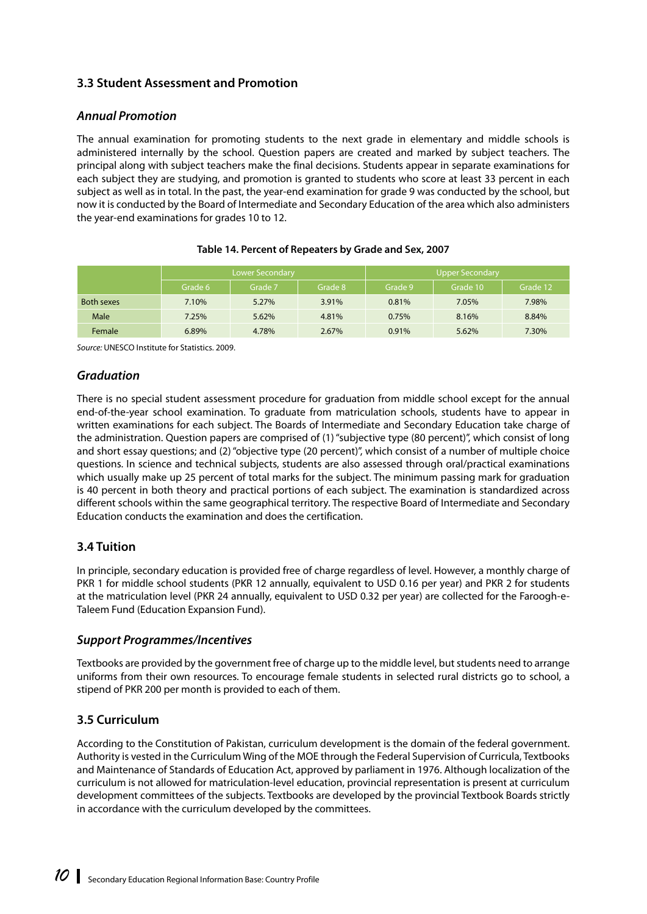# <span id="page-17-0"></span>**3.3 Student Assessment and Promotion**

### *Annual Promotion*

The annual examination for promoting students to the next grade in elementary and middle schools is administered internally by the school. Question papers are created and marked by subject teachers. The principal along with subject teachers make the final decisions. Students appear in separate examinations for each subject they are studying, and promotion is granted to students who score at least 33 percent in each subject as well as in total. In the past, the year-end examination for grade 9 was conducted by the school, but now it is conducted by the Board of Intermediate and Secondary Education of the area which also administers the year-end examinations for grades 10 to 12.

|                   |         | Lower Secondary |         | <b>Upper Secondary</b> |          |          |
|-------------------|---------|-----------------|---------|------------------------|----------|----------|
|                   | Grade 6 | Grade 7         | Grade 8 | Grade 9                | Grade 10 | Grade 12 |
| <b>Both sexes</b> | 7.10%   | 5.27%           | 3.91%   | 0.81%                  | 7.05%    | 7.98%    |
| Male              | 7.25%   | 5.62%           | 4.81%   | 0.75%                  | 8.16%    | 8.84%    |
| Female            | 6.89%   | 4.78%           | 2.67%   | 0.91%                  | 5.62%    | 7.30%    |

#### **Table 14. Percent of Repeaters by Grade and Sex, 2007**

*Source:* UNESCO Institute for Statistics. 2009.

#### *Graduation*

There is no special student assessment procedure for graduation from middle school except for the annual end-of-the-year school examination. To graduate from matriculation schools, students have to appear in written examinations for each subject. The Boards of Intermediate and Secondary Education take charge of the administration. Question papers are comprised of (1) "subjective type (80 percent)", which consist of long and short essay questions; and (2) "objective type (20 percent)", which consist of a number of multiple choice questions. In science and technical subjects, students are also assessed through oral/practical examinations which usually make up 25 percent of total marks for the subject. The minimum passing mark for graduation is 40 percent in both theory and practical portions of each subject. The examination is standardized across different schools within the same geographical territory. The respective Board of Intermediate and Secondary Education conducts the examination and does the certification.

### **3.4 Tuition**

In principle, secondary education is provided free of charge regardless of level. However, a monthly charge of PKR 1 for middle school students (PKR 12 annually, equivalent to USD 0.16 per year) and PKR 2 for students at the matriculation level (PKR 24 annually, equivalent to USD 0.32 per year) are collected for the Faroogh-e-Taleem Fund (Education Expansion Fund).

### *Support Programmes/Incentives*

Textbooks are provided by the government free of charge up to the middle level, but students need to arrange uniforms from their own resources. To encourage female students in selected rural districts go to school, a stipend of PKR 200 per month is provided to each of them.

# **3.5 Curriculum**

According to the Constitution of Pakistan, curriculum development is the domain of the federal government. Authority is vested in the Curriculum Wing of the MOE through the Federal Supervision of Curricula, Textbooks and Maintenance of Standards of Education Act, approved by parliament in 1976. Although localization of the curriculum is not allowed for matriculation-level education, provincial representation is present at curriculum development committees of the subjects. Textbooks are developed by the provincial Textbook Boards strictly in accordance with the curriculum developed by the committees.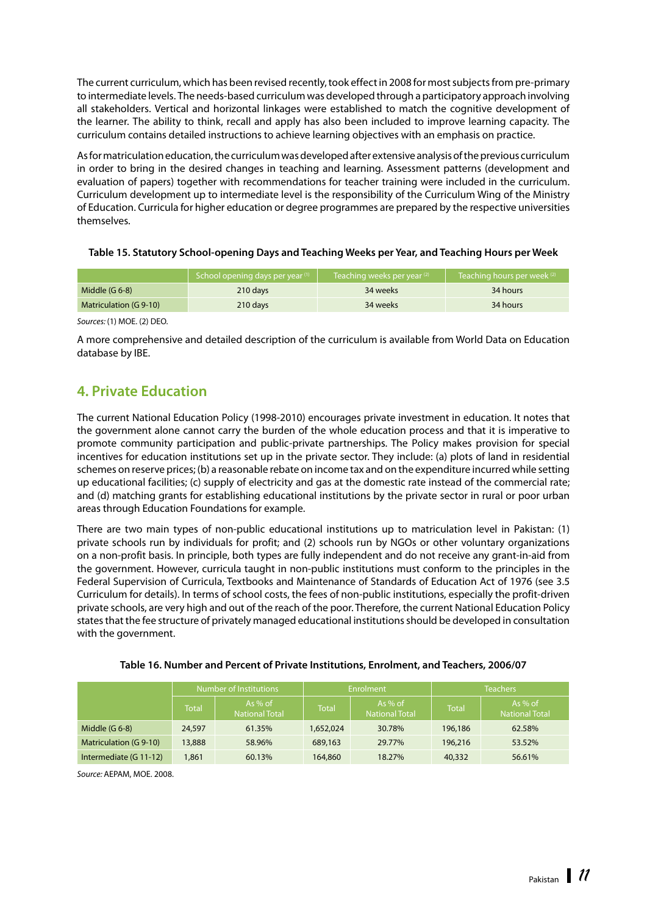<span id="page-18-0"></span>The current curriculum, which has been revised recently, took effect in 2008 for most subjects from pre-primary to intermediate levels. The needs-based curriculum was developed through a participatory approach involving all stakeholders. Vertical and horizontal linkages were established to match the cognitive development of the learner. The ability to think, recall and apply has also been included to improve learning capacity. The curriculum contains detailed instructions to achieve learning objectives with an emphasis on practice.

As for matriculation education, the curriculum was developed after extensive analysis of the previous curriculum in order to bring in the desired changes in teaching and learning. Assessment patterns (development and evaluation of papers) together with recommendations for teacher training were included in the curriculum. Curriculum development up to intermediate level is the responsibility of the Curriculum Wing of the Ministry of Education. Curricula for higher education or degree programmes are prepared by the respective universities themselves.

|  |  |  |  | Table 15. Statutory School-opening Days and Teaching Weeks per Year, and Teaching Hours per Week |
|--|--|--|--|--------------------------------------------------------------------------------------------------|
|--|--|--|--|--------------------------------------------------------------------------------------------------|

|                        | School opening days per year <sup>(1)</sup> | Teaching weeks per year (2) | Teaching hours per week $(2)$ |
|------------------------|---------------------------------------------|-----------------------------|-------------------------------|
| Middle $(G 6-8)$       | 210 days                                    | 34 weeks                    | 34 hours                      |
| Matriculation (G 9-10) | 210 days                                    | 34 weeks                    | 34 hours                      |

*Sources:* (1) MOE. (2) DEO.

A more comprehensive and detailed description of the curriculum is available from World Data on Education database by IBE.

# **4. Private Education**

The current National Education Policy (1998-2010) encourages private investment in education. It notes that the government alone cannot carry the burden of the whole education process and that it is imperative to promote community participation and public-private partnerships. The Policy makes provision for special incentives for education institutions set up in the private sector. They include: (a) plots of land in residential schemes on reserve prices; (b) a reasonable rebate on income tax and on the expenditure incurred while setting up educational facilities; (c) supply of electricity and gas at the domestic rate instead of the commercial rate; and (d) matching grants for establishing educational institutions by the private sector in rural or poor urban areas through Education Foundations for example.

There are two main types of non-public educational institutions up to matriculation level in Pakistan: (1) private schools run by individuals for profit; and (2) schools run by NGOs or other voluntary organizations on a non-profit basis. In principle, both types are fully independent and do not receive any grant-in-aid from the government. However, curricula taught in non-public institutions must conform to the principles in the Federal Supervision of Curricula, Textbooks and Maintenance of Standards of Education Act of 1976 (see 3.5 Curriculum for details). In terms of school costs, the fees of non-public institutions, especially the profit-driven private schools, are very high and out of the reach of the poor. Therefore, the current National Education Policy states that the fee structure of privately managed educational institutions should be developed in consultation with the government.

|                        | Number of Institutions |                                    |              | Enrolment                          | <b>Teachers</b> |                                    |  |
|------------------------|------------------------|------------------------------------|--------------|------------------------------------|-----------------|------------------------------------|--|
|                        | Total                  | As $%$ of<br><b>National Total</b> | <b>Total</b> | As $%$ of<br><b>National Total</b> | <b>Total</b>    | As $%$ of<br><b>National Total</b> |  |
| Middle $(G 6-8)$       | 24,597                 | 61.35%                             | 1,652,024    | 30.78%                             | 196,186         | 62.58%                             |  |
| Matriculation (G 9-10) | 13,888                 | 58.96%                             | 689,163      | 29.77%                             | 196,216         | 53.52%                             |  |
| Intermediate (G 11-12) | 1.861                  | 60.13%                             | 164,860      | 18.27%                             | 40,332          | 56.61%                             |  |

**Table 16. Number and Percent of Private Institutions, Enrolment, and Teachers, 2006/07** 

*Source:* AEPAM, MOE. 2008.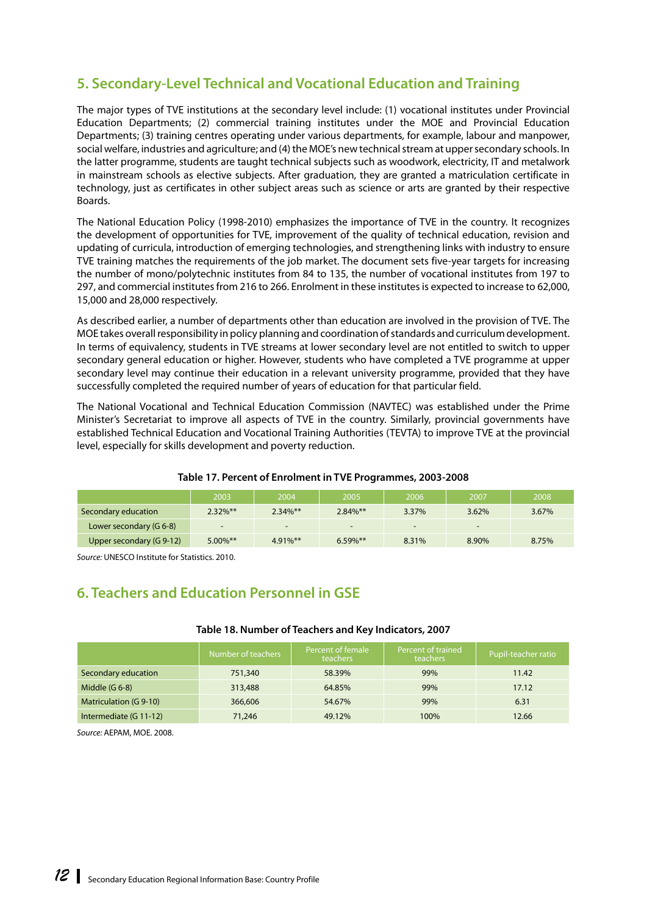# <span id="page-19-0"></span>**5. Secondary-Level Technical and Vocational Education and Training**

The major types of TVE institutions at the secondary level include: (1) vocational institutes under Provincial Education Departments; (2) commercial training institutes under the MOE and Provincial Education Departments; (3) training centres operating under various departments, for example, labour and manpower, social welfare, industries and agriculture; and (4) the MOE's new technical stream at upper secondary schools. In the latter programme, students are taught technical subjects such as woodwork, electricity, IT and metalwork in mainstream schools as elective subjects. After graduation, they are granted a matriculation certificate in technology, just as certificates in other subject areas such as science or arts are granted by their respective Boards.

The National Education Policy (1998-2010) emphasizes the importance of TVE in the country. It recognizes the development of opportunities for TVE, improvement of the quality of technical education, revision and updating of curricula, introduction of emerging technologies, and strengthening links with industry to ensure TVE training matches the requirements of the job market. The document sets five-year targets for increasing the number of mono/polytechnic institutes from 84 to 135, the number of vocational institutes from 197 to 297, and commercial institutes from 216 to 266. Enrolment in these institutes is expected to increase to 62,000, 15,000 and 28,000 respectively.

As described earlier, a number of departments other than education are involved in the provision of TVE. The MOE takes overall responsibility in policy planning and coordination of standards and curriculum development. In terms of equivalency, students in TVE streams at lower secondary level are not entitled to switch to upper secondary general education or higher. However, students who have completed a TVE programme at upper secondary level may continue their education in a relevant university programme, provided that they have successfully completed the required number of years of education for that particular field.

The National Vocational and Technical Education Commission (NAVTEC) was established under the Prime Minister's Secretariat to improve all aspects of TVE in the country. Similarly, provincial governments have established Technical Education and Vocational Training Authorities (TEVTA) to improve TVE at the provincial level, especially for skills development and poverty reduction.

|                          | 2003        | 2004                     | 2005        | 2006  | 2007   | 2008  |
|--------------------------|-------------|--------------------------|-------------|-------|--------|-------|
| Secondary education      | $2.32\%$ ** | $2.34\%$ **              | $2.84\%$ ** | 3.37% | 3.62%  | 3.67% |
| Lower secondary (G 6-8)  | -           | $\overline{\phantom{0}}$ | -           | -     | $\sim$ |       |
| Upper secondary (G 9-12) | $5.00\%$ ** | $4.91\%$ **              | $6.59\%$ ** | 8.31% | 8.90%  | 8.75% |

#### **Table 17. Percent of Enrolment in TVE Programmes, 2003-2008**

*Source:* UNESCO Institute for Statistics. 2010.

# **6. Teachers and Education Personnel in GSE**

#### **Table 18. Number of Teachers and Key Indicators, 2007**

|                        | Number of teachers | Percent of female<br>teachers | Percent of trained<br>teachers | Pupil-teacher ratio |
|------------------------|--------------------|-------------------------------|--------------------------------|---------------------|
| Secondary education    | 751,340            | 58.39%                        | 99%                            | 11.42               |
| Middle $(G 6-8)$       | 313,488            | 64.85%                        | 99%                            | 17.12               |
| Matriculation (G 9-10) | 366,606            | 54.67%                        | 99%                            | 6.31                |
| Intermediate (G 11-12) | 71,246             | 49.12%                        | 100%                           | 12.66               |

*Source:* AEPAM, MOE. 2008.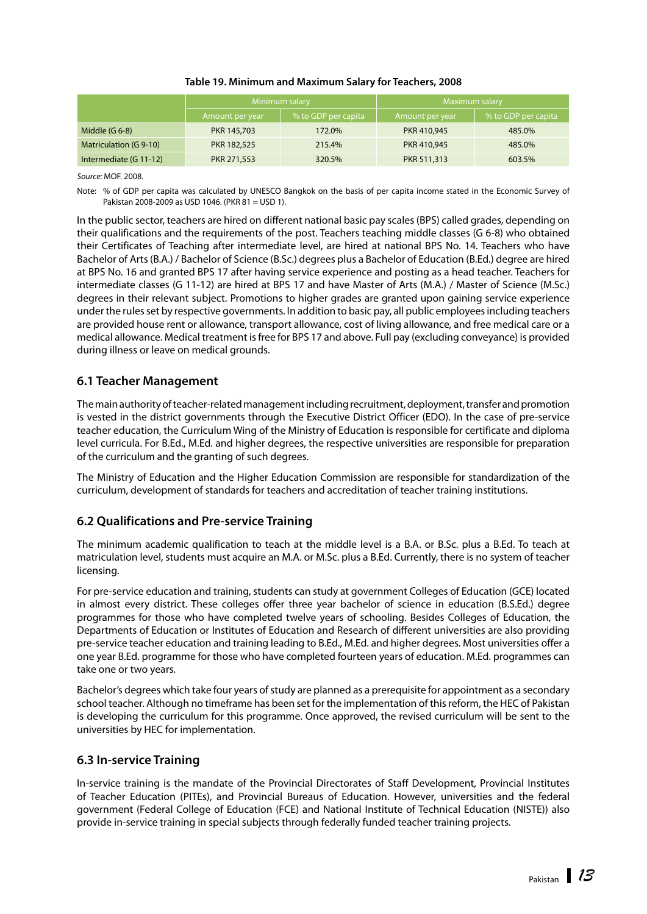#### **Table 19. Minimum and Maximum Salary for Teachers, 2008**

<span id="page-20-0"></span>

|                        |                 | Minimum salary      | Maximum salary  |                     |  |
|------------------------|-----------------|---------------------|-----------------|---------------------|--|
|                        | Amount per year | % to GDP per capita | Amount per year | % to GDP per capita |  |
| Middle $(G 6-8)$       | PKR 145,703     | 172.0%              | PKR 410,945     | 485.0%              |  |
| Matriculation (G 9-10) | PKR 182,525     | 215.4%              | PKR 410,945     | 485.0%              |  |
| Intermediate (G 11-12) | PKR 271,553     | 320.5%              | PKR 511,313     | 603.5%              |  |

*Source:* MOF. 2008.

Note: % of GDP per capita was calculated by UNESCO Bangkok on the basis of per capita income stated in the Economic Survey of Pakistan 2008-2009 as USD 1046. (PKR 81 = USD 1).

In the public sector, teachers are hired on different national basic pay scales (BPS) called grades, depending on their qualifications and the requirements of the post. Teachers teaching middle classes (G 6-8) who obtained their Certificates of Teaching after intermediate level, are hired at national BPS No. 14. Teachers who have Bachelor of Arts (B.A.) / Bachelor of Science (B.Sc.) degrees plus a Bachelor of Education (B.Ed.) degree are hired at BPS No. 16 and granted BPS 17 after having service experience and posting as a head teacher. Teachers for intermediate classes (G 11-12) are hired at BPS 17 and have Master of Arts (M.A.) / Master of Science (M.Sc.) degrees in their relevant subject. Promotions to higher grades are granted upon gaining service experience under the rules set by respective governments. In addition to basic pay, all public employees including teachers are provided house rent or allowance, transport allowance, cost of living allowance, and free medical care or a medical allowance. Medical treatment is free for BPS 17 and above. Full pay (excluding conveyance) is provided during illness or leave on medical grounds.

### **6.1 Teacher Management**

The main authority of teacher-related management including recruitment, deployment, transfer and promotion is vested in the district governments through the Executive District Officer (EDO). In the case of pre-service teacher education, the Curriculum Wing of the Ministry of Education is responsible for certificate and diploma level curricula. For B.Ed., M.Ed. and higher degrees, the respective universities are responsible for preparation of the curriculum and the granting of such degrees.

The Ministry of Education and the Higher Education Commission are responsible for standardization of the curriculum, development of standards for teachers and accreditation of teacher training institutions.

### **6.2 Qualifications and Pre-service Training**

The minimum academic qualification to teach at the middle level is a B.A. or B.Sc. plus a B.Ed. To teach at matriculation level, students must acquire an M.A. or M.Sc. plus a B.Ed. Currently, there is no system of teacher licensing.

For pre-service education and training, students can study at government Colleges of Education (GCE) located in almost every district. These colleges offer three year bachelor of science in education (B.S.Ed.) degree programmes for those who have completed twelve years of schooling. Besides Colleges of Education, the Departments of Education or Institutes of Education and Research of different universities are also providing pre-service teacher education and training leading to B.Ed., M.Ed. and higher degrees. Most universities offer a one year B.Ed. programme for those who have completed fourteen years of education. M.Ed. programmes can take one or two years.

Bachelor's degrees which take four years of study are planned as a prerequisite for appointment as a secondary school teacher. Although no timeframe has been set for the implementation of this reform, the HEC of Pakistan is developing the curriculum for this programme. Once approved, the revised curriculum will be sent to the universities by HEC for implementation.

#### **6.3 In-service Training**

In-service training is the mandate of the Provincial Directorates of Staff Development, Provincial Institutes of Teacher Education (PITEs), and Provincial Bureaus of Education. However, universities and the federal government (Federal College of Education (FCE) and National Institute of Technical Education (NISTE)) also provide in-service training in special subjects through federally funded teacher training projects.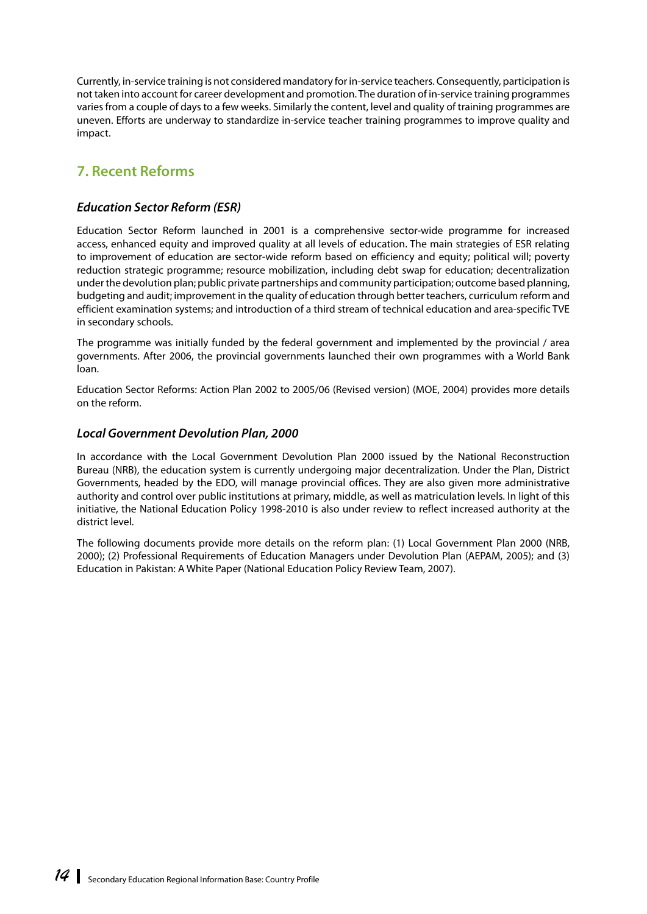<span id="page-21-0"></span>Currently, in-service training is not considered mandatory for in-service teachers. Consequently, participation is not taken into account for career development and promotion. The duration of in-service training programmes varies from a couple of days to a few weeks. Similarly the content, level and quality of training programmes are uneven. Efforts are underway to standardize in-service teacher training programmes to improve quality and impact.

# **7. Recent Reforms**

## *Education Sector Reform (ESR)*

Education Sector Reform launched in 2001 is a comprehensive sector-wide programme for increased access, enhanced equity and improved quality at all levels of education. The main strategies of ESR relating to improvement of education are sector-wide reform based on efficiency and equity; political will; poverty reduction strategic programme; resource mobilization, including debt swap for education; decentralization under the devolution plan; public private partnerships and community participation; outcome based planning, budgeting and audit; improvement in the quality of education through better teachers, curriculum reform and efficient examination systems; and introduction of a third stream of technical education and area-specific TVE in secondary schools.

The programme was initially funded by the federal government and implemented by the provincial / area governments. After 2006, the provincial governments launched their own programmes with a World Bank loan.

Education Sector Reforms: Action Plan 2002 to 2005/06 (Revised version) (MOE, 2004) provides more details on the reform.

#### *Local Government Devolution Plan, 2000*

In accordance with the Local Government Devolution Plan 2000 issued by the National Reconstruction Bureau (NRB), the education system is currently undergoing major decentralization. Under the Plan, District Governments, headed by the EDO, will manage provincial offices. They are also given more administrative authority and control over public institutions at primary, middle, as well as matriculation levels. In light of this initiative, the National Education Policy 1998-2010 is also under review to reflect increased authority at the district level.

The following documents provide more details on the reform plan: (1) Local Government Plan 2000 (NRB, 2000); (2) Professional Requirements of Education Managers under Devolution Plan (AEPAM, 2005); and (3) Education in Pakistan: A White Paper (National Education Policy Review Team, 2007).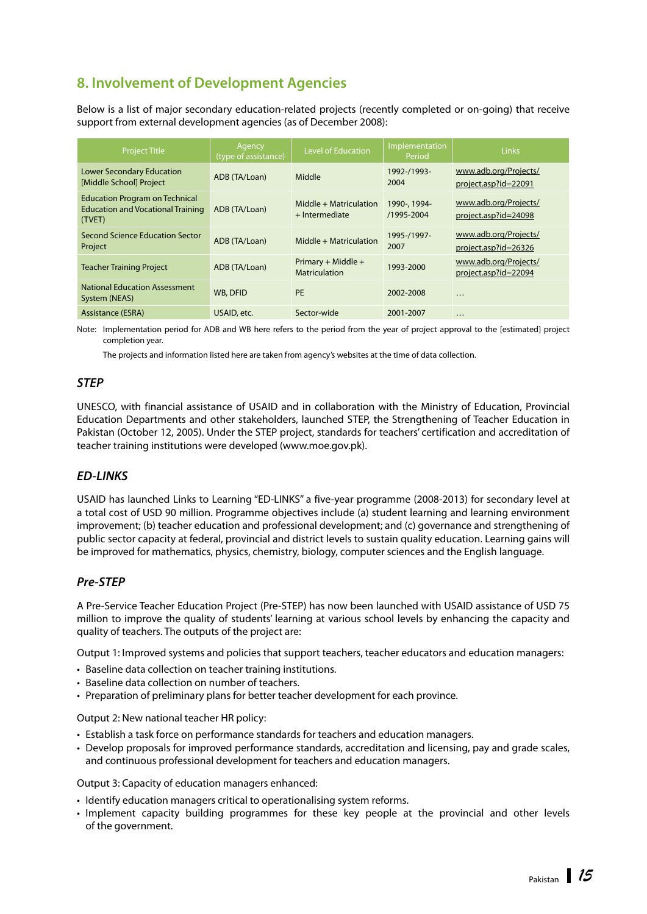# <span id="page-22-0"></span>**8. Involvement of Development Agencies**

Below is a list of major secondary education-related projects (recently completed or on-going) that receive support from external development agencies (as of December 2008):

| <b>Project Title</b>                                                                        | Agency<br>(type of assistance) | <b>Level of Education</b>                  | Implementation<br>Period   | Links                                         |
|---------------------------------------------------------------------------------------------|--------------------------------|--------------------------------------------|----------------------------|-----------------------------------------------|
| <b>Lower Secondary Education</b><br>[Middle School] Project                                 | ADB (TA/Loan)                  | Middle                                     | 1992-/1993-<br>2004        | www.adb.org/Projects/<br>project.asp?id=22091 |
| <b>Education Program on Technical</b><br><b>Education and Vocational Training</b><br>(TVET) | ADB (TA/Loan)                  | Middle + Matriculation<br>+ Intermediate   | 1990-, 1994-<br>/1995-2004 | www.adb.org/Projects/<br>project.asp?id=24098 |
| Second Science Education Sector<br>Project                                                  | ADB (TA/Loan)                  | Middle + Matriculation                     | 1995-/1997-<br>2007        | www.adb.org/Projects/<br>project.asp?id=26326 |
| <b>Teacher Training Project</b>                                                             | ADB (TA/Loan)                  | Primary + Middle +<br><b>Matriculation</b> | 1993-2000                  | www.adb.org/Projects/<br>project.asp?id=22094 |
| <b>National Education Assessment</b><br>System (NEAS)                                       | WB, DFID                       | <b>PE</b>                                  | 2002-2008                  | $\cdots$                                      |
| Assistance (ESRA)                                                                           | USAID, etc.                    | Sector-wide                                | 2001-2007                  | $\cdots$                                      |

Note: Implementation period for ADB and WB here refers to the period from the year of project approval to the [estimated] project completion year.

The projects and information listed here are taken from agency's websites at the time of data collection.

## *STEP*

UNESCO, with financial assistance of USAID and in collaboration with the Ministry of Education, Provincial Education Departments and other stakeholders, launched STEP, the Strengthening of Teacher Education in Pakistan (October 12, 2005). Under the STEP project, standards for teachers' certification and accreditation of teacher training institutions were developed [\(www.moe.gov.pk\).](http://www.moe.gov.pk) 

### *ED-LINKS*

USAID has launched Links to Learning "ED-LINKS" a five-year programme (2008-2013) for secondary level at a total cost of USD 90 million. Programme objectives include (a) student learning and learning environment improvement; (b) teacher education and professional development; and (c) governance and strengthening of public sector capacity at federal, provincial and district levels to sustain quality education. Learning gains will be improved for mathematics, physics, chemistry, biology, computer sciences and the English language.

### *Pre-STEP*

A Pre-Service Teacher Education Project (Pre-STEP) has now been launched with USAID assistance of USD 75 million to improve the quality of students' learning at various school levels by enhancing the capacity and quality of teachers. The outputs of the project are:

Output 1: Improved systems and policies that support teachers, teacher educators and education managers:

- Baseline data collection on teacher training institutions.
- Baseline data collection on number of teachers.
- • Preparation of preliminary plans for better teacher development for each province.

Output 2: New national teacher HR policy:

- Establish a task force on performance standards for teachers and education managers.
- • Develop proposals for improved performance standards, accreditation and licensing, pay and grade scales, and continuous professional development for teachers and education managers.

Output 3: Capacity of education managers enhanced:

- Identify education managers critical to operationalising system reforms.
- • Implement capacity building programmes for these key people at the provincial and other levels of the government.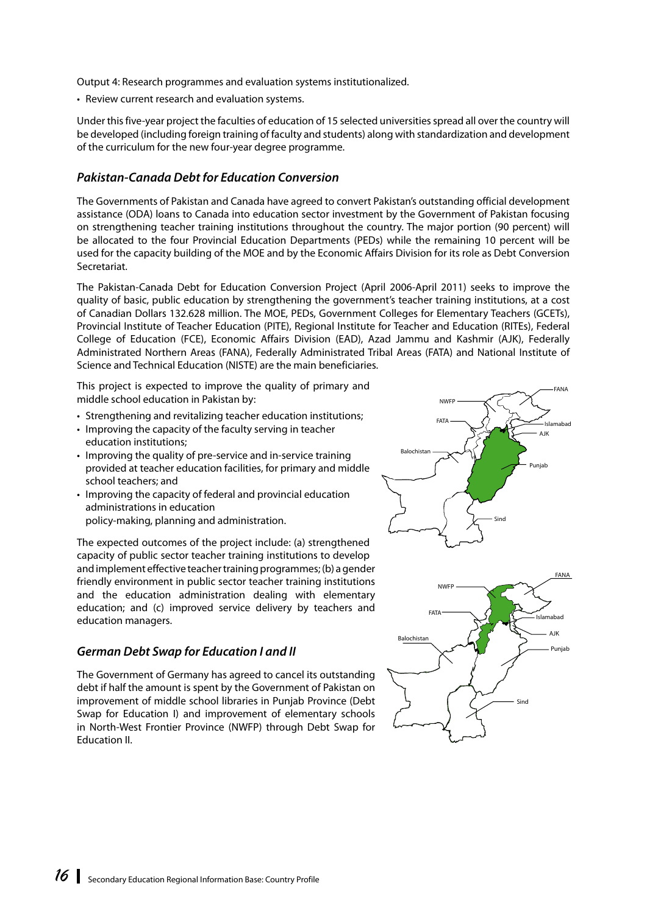Output 4: Research programmes and evaluation systems institutionalized.

• Review current research and evaluation systems.

Under this five-year project the faculties of education of 15 selected universities spread all over the country will be developed (including foreign training of faculty and students) along with standardization and development of the curriculum for the new four-year degree programme.

### *Pakistan-Canada Debt for Education Conversion*

The Governments of Pakistan and Canada have agreed to convert Pakistan's outstanding official development assistance (ODA) loans to Canada into education sector investment by the Government of Pakistan focusing on strengthening teacher training institutions throughout the country. The major portion (90 percent) will be allocated to the four Provincial Education Departments (PEDs) while the remaining 10 percent will be used for the capacity building of the MOE and by the Economic Affairs Division for its role as Debt Conversion Secretariat.

The Pakistan-Canada Debt for Education Conversion Project (April 2006-April 2011) seeks to improve the quality of basic, public education by strengthening the government's teacher training institutions, at a cost of Canadian Dollars 132.628 million. The MOE, PEDs, Government Colleges for Elementary Teachers (GCETs), Provincial Institute of Teacher Education (PITE), Regional Institute for Teacher and Education (RITEs), Federal College of Education (FCE), Economic Affairs Division (EAD), Azad Jammu and Kashmir (AJK), Federally Administrated Northern Areas (FANA), Federally Administrated Tribal Areas (FATA) and National Institute of Science and Technical Education (NISTE) are the main beneficiaries.

This project is expected to improve the quality of primary and middle school education in Pakistan by:

- Strengthening and revitalizing teacher education institutions;
- Improving the capacity of the faculty serving in teacher education institutions;
- Improving the quality of pre-service and in-service training provided at teacher education facilities, for primary and middle school teachers; and
- Improving the capacity of federal and provincial education administrations in education policy-making, planning and administration.

The expected outcomes of the project include: (a) strengthened capacity of public sector teacher training institutions to develop and implement effective teacher training programmes; (b) a gender friendly environment in public sector teacher training institutions and the education administration dealing with elementary education; and (c) improved service delivery by teachers and education managers.

### *German Debt Swap for Education I and II*

The Government of Germany has agreed to cancel its outstanding debt if half the amount is spent by the Government of Pakistan on improvement of middle school libraries in Punjab Province (Debt Swap for Education I) and improvement of elementary schools in North-West Frontier Province (NWFP) through Debt Swap for Education II.

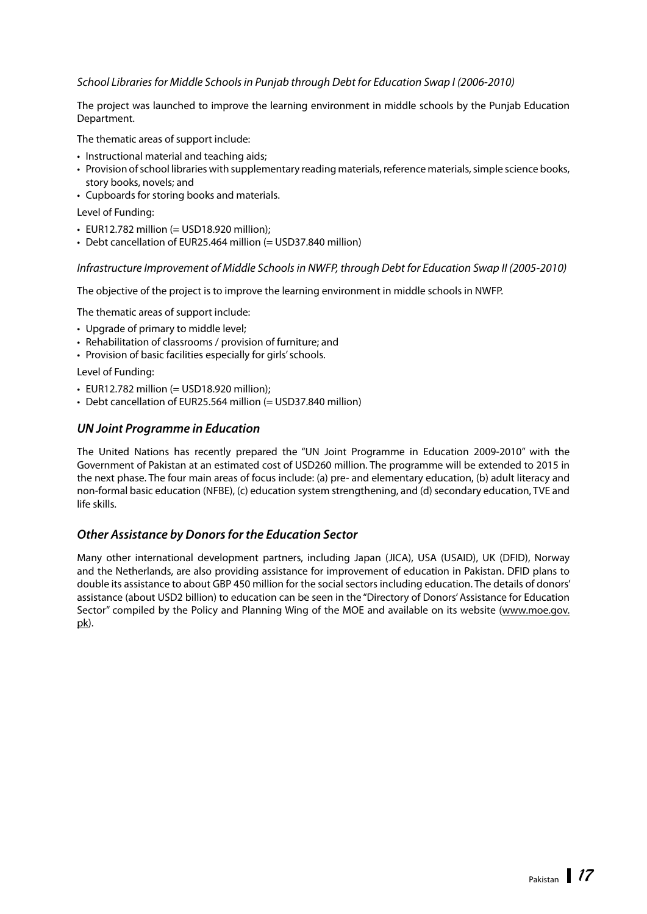#### *School Libraries for Middle Schools in Punjab through Debt for Education Swap I (2006-2010)*

The project was launched to improve the learning environment in middle schools by the Punjab Education Department.

The thematic areas of support include:

- Instructional material and teaching aids;
- • Provision of school libraries with supplementary reading materials, reference materials, simple science books, story books, novels; and
- • Cupboards for storing books and materials.

Level of Funding:

- $\cdot$  EUR12.782 million (= USD18.920 million);
- Debt cancellation of EUR25.464 million (= USD37.840 million)

#### *Infrastructure Improvement of Middle Schools in NWFP, through Debt for Education Swap II (2005-2010)*

The objective of the project is to improve the learning environment in middle schools in NWFP.

The thematic areas of support include:

- Upgrade of primary to middle level:
- Rehabilitation of classrooms / provision of furniture; and
- Provision of basic facilities especially for girls' schools.

Level of Funding:

- $\cdot$  EUR12.782 million (= USD18.920 million);
- Debt cancellation of EUR25.564 million (= USD37.840 million)

#### *UN Joint Programme in Education*

The United Nations has recently prepared the "UN Joint Programme in Education 2009-2010" with the Government of Pakistan at an estimated cost of USD260 million. The programme will be extended to 2015 in the next phase. The four main areas of focus include: (a) pre- and elementary education, (b) adult literacy and non-formal basic education (NFBE), (c) education system strengthening, and (d) secondary education, TVE and life skills.

### *Other Assistance by Donors for the Education Sector*

Many other international development partners, including Japan (JICA), USA (USAID), UK (DFID), Norway and the Netherlands, are also providing assistance for improvement of education in Pakistan. DFID plans to double its assistance to about GBP 450 million for the social sectors including education. The details of donors' assistance (about USD2 billion) to education can be seen in the "Directory of Donors' Assistance for Education Sector" compiled by the Policy and Planning Wing of the MOE and available on its website [\(www.moe.go](http://www.moe.gov.pk)v. [p](http://www.moe.gov.pk)k).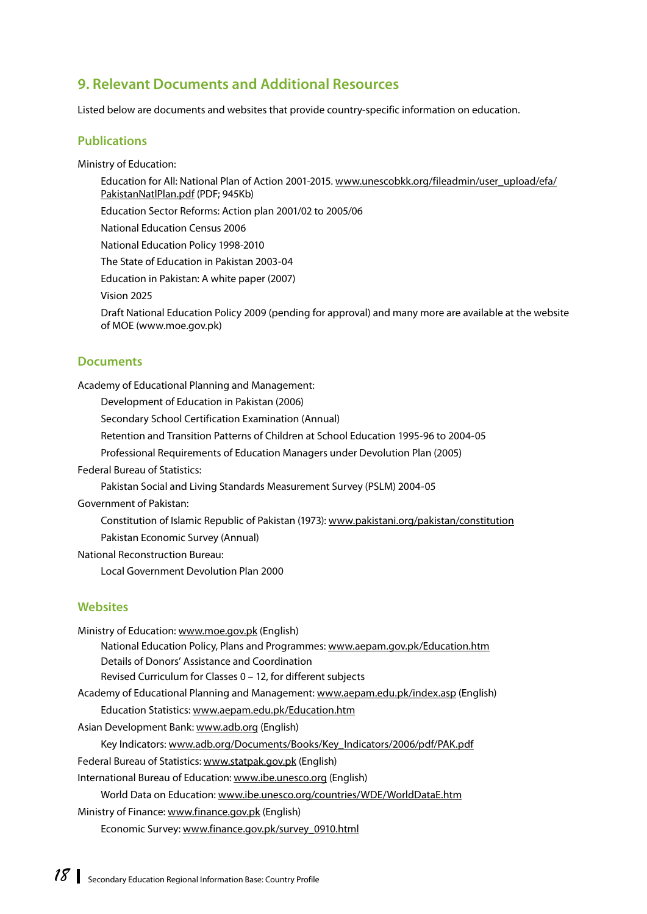# <span id="page-25-0"></span>**9. Relevant Documents and Additional Resources**

Listed below are documents and websites that provide country-specific information on education.

#### **Publications**

Ministry of Education:

Education for All: National Plan of Action 2001-2015. [www.unescobkk.org/fileadmin/user\\_upload/efa/](http://www.unescobkk.org/fileadmin/user_upload/efa) PakistanNatlPlan.pdf (PDF; 945Kb)

Education Sector Reforms: Action plan 2001/02 to 2005/06

National Education Census 2006

National Education Policy 1998-2010

The State of Education in Pakistan 2003-04

Education in Pakistan: A white paper (2007)

Vision 2025

Draft National Education Policy 2009 (pending for approval) and many more are available at the website of MOE [\(www.moe.gov.pk\)](http://www.moe.gov.pk)

#### **Documents**

Academy of Educational Planning and Management:

Development of Education in Pakistan (2006)

Secondary School Certification Examination (Annual)

Retention and Transition Patterns of Children at School Education 1995-96 to 2004-05

Professional Requirements of Education Managers under Devolution Plan (2005)

Federal Bureau of Statistics:

Pakistan Social and Living Standards Measurement Survey (PSLM) 2004-05

Government of Pakistan:

Constitution of Islamic Republic of Pakistan (1973): [www.pakistani.org/pakistan/constitution](http://www.pakistani.org/pakistan/constitution)

Pakistan Economic Survey (Annual)

National Reconstruction Bureau:

Local Government Devolution Plan 2000

### **Websites**

| Ministry of Education: www.moe.gov.pk (English)                                      |
|--------------------------------------------------------------------------------------|
| National Education Policy, Plans and Programmes: www.aepam.gov.pk/Education.htm      |
| Details of Donors' Assistance and Coordination                                       |
| Revised Curriculum for Classes 0 – 12, for different subjects                        |
| Academy of Educational Planning and Management: www.aepam.edu.pk/index.asp (English) |
| Education Statistics: www.aepam.edu.pk/Education.htm                                 |
| Asian Development Bank: www.adb.org (English)                                        |
| Key Indicators: www.adb.org/Documents/Books/Key Indicators/2006/pdf/PAK.pdf          |
| Federal Bureau of Statistics: www.statpak.gov.pk (English)                           |
| International Bureau of Education: www.ibe.unesco.org (English)                      |
| World Data on Education: www.ibe.unesco.org/countries/WDE/WorldDataE.htm             |
| Ministry of Finance: www.finance.gov.pk (English)                                    |
| Economic Survey: www.finance.gov.pk/survey 0910.html                                 |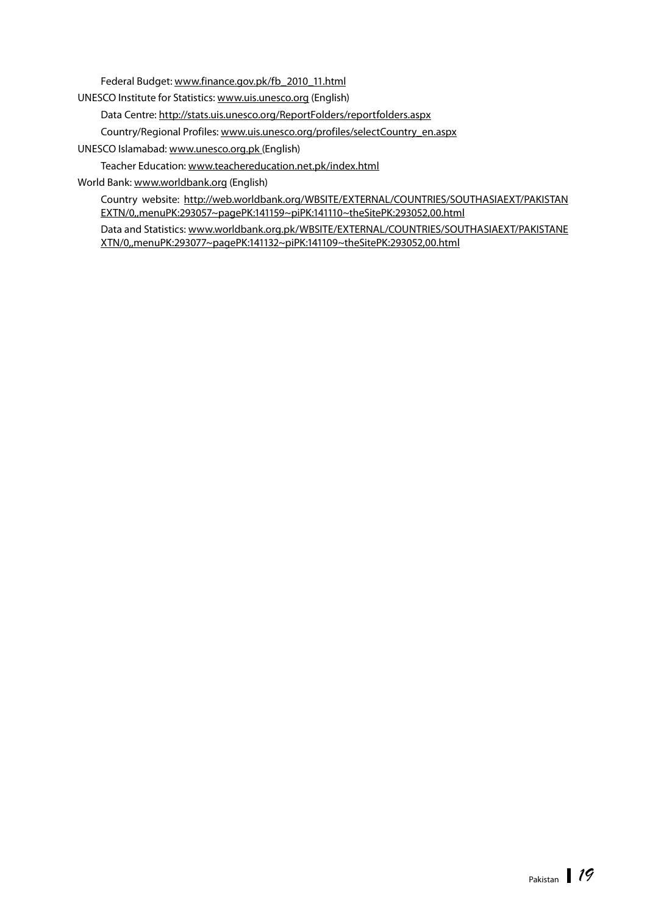Federal Budget: [www.finance.gov.pk/fb\\_2010\\_11.html](http://www.finance.gov.pk/fb_2010_11.html)

UNESCO Institute for Statistics: [www.uis.unesco.org \(E](http://www.uis.unesco.org)nglish)

Data Centre:<http://stats.uis.unesco.org/ReportFolders/reportfolders.aspx>

Country/Regional Profiles: [www.uis.unesco.org/profiles/selectCountry\\_en.aspx](http://www.uis.unesco.org/profiles/selectCountry_en.aspx)

UNESCO Islamabad: [www.unesco.org.pk](http://www.unesco.org.pk) (English)

Teacher Education: [www.teachereducation.net.pk/index.html](http://www.teachereducation.net.pk/index.html)

World Bank: [www.worldbank.org \(En](http://www.worldbank.org)glish)

Country website: <http://web.worldbank.org/WBSITE/EXTERNAL/COUNTRIES/SOUTHASIAEXT/PAKISTAN> EXTN/0,,menuPK:293057~pagePK:141159~piPK:141110~theSitePK:293052,00.html

Data and Statistics: [www.worldbank.org.pk/WBSITE/EXTERNAL/COUNTRIES/SOUTHASIAEXT/PAKISTANE](http://www.worldbank.org.pk/WBSITE/EXTERNAL/COUNTRIES/SOUTHASIAEXT/PAKISTANE) XTN/0,,menuPK:293077~pagePK:141132~piPK:141109~theSitePK:293052,00.html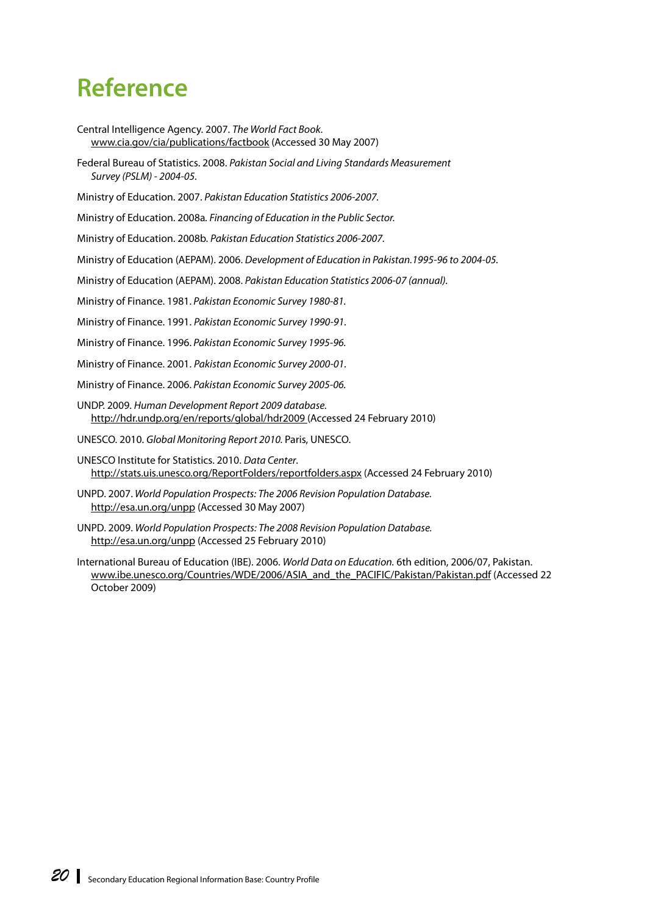# <span id="page-27-0"></span>**Reference**

Central Intelligence Agency. 2007. *The World Fact Book*. [www.cia.gov/cia/publications/factbook \(A](http://www.cia.gov/cia/publications/factbook)ccessed 30 May 2007)

Federal Bureau of Statistics. 2008. *Pakistan Social and Living Standards Measurement Survey (PSLM) - 2004-05.*

Ministry of Education. 2007. *Pakistan Education Statistics 2006-2007.*

Ministry of Education. 2008a*. Financing of Education in the Public Sector.*

Ministry of Education. 2008b. *Pakistan Education Statistics 2006-2007.*

Ministry of Education (AEPAM). 2006. *Development of Education in Pakistan.1995-96 to 2004-05.*

Ministry of Education (AEPAM). 2008. *Pakistan Education Statistics 2006-07 (annual).*

Ministry of Finance. 1981. *Pakistan Economic Survey 1980-81.*

Ministry of Finance. 1991. *Pakistan Economic Survey 1990-91.*

Ministry of Finance. 1996. *Pakistan Economic Survey 1995-96.*

Ministry of Finance. 2001. *Pakistan Economic Survey 2000-01.*

Ministry of Finance. 2006. *Pakistan Economic Survey 2005-06.*

UNDP. 2009. *Human Development Report 2009 database.* <http://hdr.undp.org/en/reports/global/hdr2009> (Accessed 24 February 2010)

UNESCO. 2010. *Global Monitoring Report 2010.* Paris, UNESCO.

UNESCO Institute for Statistics. 2010. *Data Center*. [http://stats.uis.unesco.org/ReportFolders/reportfolders.aspx \(A](http://stats.uis.unesco.org/ReportFolders/reportfolders.aspx)ccessed 24 February 2010)

UNPD. 2007. *World Population Prospects: The 2006 Revision Population Database.*  [http://esa.un.org/unpp \(A](http://esa.un.org/unpp)ccessed 30 May 2007)

UNPD. 2009. *World Population Prospects: The 2008 Revision Population Database.*  [http://esa.un.org/unpp \(A](http://esa.un.org/unpp)ccessed 25 February 2010)

International Bureau of Education (IBE). 2006. *World Data on Education.* 6th edition, 2006/07, Pakistan. [www.ibe.unesco.org/Countries/WDE/2006/ASIA\\_and\\_the\\_PACIFIC/Pakistan/Pakistan.pdf \(A](http://www.ibe.unesco.org/Countries/WDE/2006/ASIA_and_the_PACIFIC/Pakistan/Pakistan.pdf)ccessed 22 October 2009)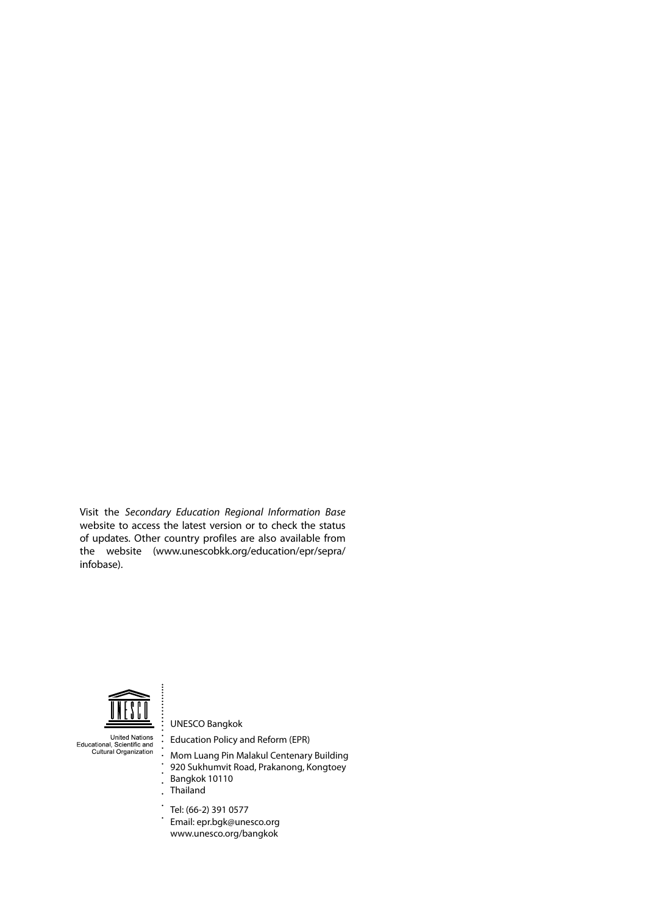Visit the *Secondary Education Regional Information Base* website to access the latest version or to check the status of updates. Other country profiles are also available from the website ([www.unescobkk.org/education/epr/sepr](http://www.unescobkk.org/education/epr/sepra/infobase)a/ [infobas](http://www.unescobkk.org/education/epr/sepra/infobase)e).



 $\ddot{\cdot}$ 

 $\overline{a}$  $\ddot{\phantom{a}}$ 

United Nations<br>Educational, Scientific and<br>Cultural Organization

UNESCO Bangkok Education Policy and Reform (EPR)

Mom Luang Pin Malakul Centenary Building 920 Sukhumvit Road, Prakanong, Kongtoey Bangkok 10110 Thailand

 $\bullet$ Tel: (66-2) 391 0577  $\ddot{\phantom{1}}$ Email: epr[.bgk@unesco.org](mailto:bgk@unesco.org) [www.unesco.org/bangkok](http://www.unesco.org/bangkok)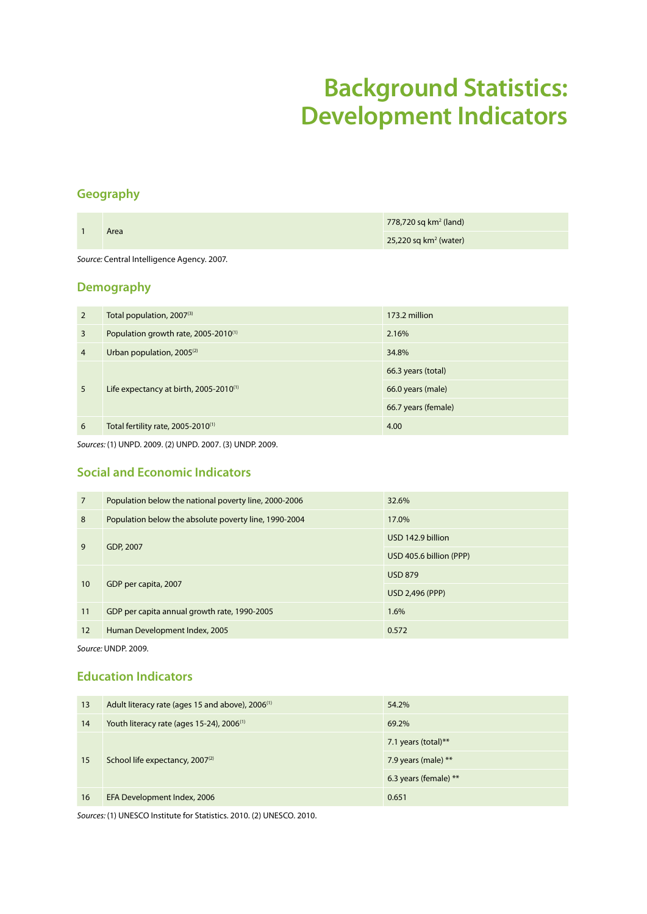# **Background Statistics: Development Indicators**

# <span id="page-29-0"></span>**Geography**

| Area                                       | $778,720$ sq km <sup>2</sup> (land) |  |
|--------------------------------------------|-------------------------------------|--|
|                                            | $25,220$ sq km <sup>2</sup> (water) |  |
| Source: Central Intelligence Agency. 2007. |                                     |  |

# **Demography**

| $\overline{2}$ | Total population, 2007(3)                          | 173.2 million       |
|----------------|----------------------------------------------------|---------------------|
| 3              | Population growth rate, 2005-2010 <sup>(1)</sup>   | 2.16%               |
| 4              | Urban population, 2005 <sup>(2)</sup>              | 34.8%               |
|                |                                                    | 66.3 years (total)  |
| 5              | Life expectancy at birth, 2005-2010 <sup>(1)</sup> | 66.0 years (male)   |
|                |                                                    | 66.7 years (female) |
| 6              | Total fertility rate, 2005-2010 <sup>(1)</sup>     | 4.00                |

*Sources:* (1) UNPD. 2009. (2) UNPD. 2007. (3) UNDP. 2009.

# **Social and Economic Indicators**

| $\overline{7}$ | Population below the national poverty line, 2000-2006 | 32.6%                   |
|----------------|-------------------------------------------------------|-------------------------|
| 8              | Population below the absolute poverty line, 1990-2004 | 17.0%                   |
| 9              |                                                       | USD 142.9 billion       |
|                | GDP, 2007                                             | USD 405.6 billion (PPP) |
| 10             |                                                       | <b>USD 879</b>          |
|                | GDP per capita, 2007                                  | <b>USD 2,496 (PPP)</b>  |
| 11             | GDP per capita annual growth rate, 1990-2005          | 1.6%                    |
| 12             | Human Development Index, 2005                         | 0.572                   |

*Source:* UNDP. 2009.

## **Education Indicators**

| 13 | Adult literacy rate (ages 15 and above), 2006 <sup>(1)</sup> | 54.2%                 |  |
|----|--------------------------------------------------------------|-----------------------|--|
| 14 | Youth literacy rate (ages 15-24), 2006 <sup>(1)</sup>        | 69.2%                 |  |
| 15 |                                                              | 7.1 years (total)**   |  |
|    | School life expectancy, $2007^{(2)}$                         | 7.9 years (male) $**$ |  |
|    |                                                              | 6.3 years (female) ** |  |
| 16 | EFA Development Index, 2006                                  | 0.651                 |  |

*Sources:* (1) UNESCO Institute for Statistics. 2010. (2) UNESCO. 2010.